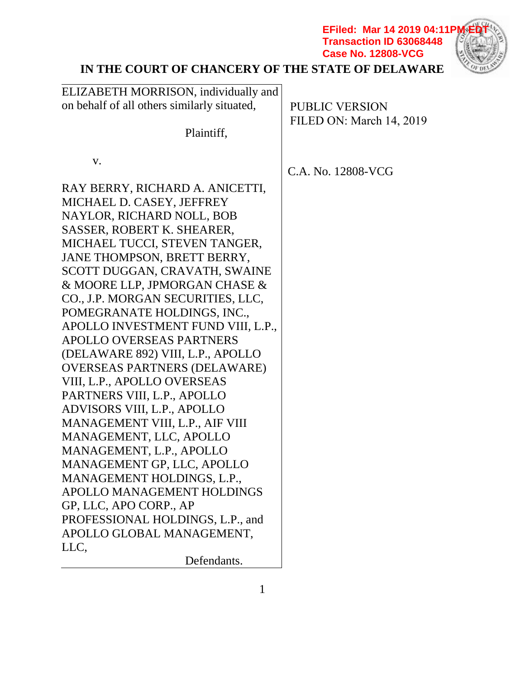**EFiled: Mar 14 2019 04:11PM EDT Transaction ID 63068448 Case No. 12808-VCG**



# **IN THE COURT OF CHANCERY OF THE STATE OF DELAWARE**

| ELIZABETH MORRISON, individually and<br>on behalf of all others similarly situated,<br>Plaintiff, | <b>PUBLIC VERSION</b><br>FILED ON: March 14, 2019 |
|---------------------------------------------------------------------------------------------------|---------------------------------------------------|
| V.                                                                                                | C.A. No. 12808-VCG                                |
| RAY BERRY, RICHARD A. ANICETTI,                                                                   |                                                   |
| MICHAEL D. CASEY, JEFFREY                                                                         |                                                   |
| NAYLOR, RICHARD NOLL, BOB                                                                         |                                                   |
| SASSER, ROBERT K. SHEARER,                                                                        |                                                   |
| MICHAEL TUCCI, STEVEN TANGER,<br>JANE THOMPSON, BRETT BERRY,                                      |                                                   |
| SCOTT DUGGAN, CRAVATH, SWAINE                                                                     |                                                   |
| & MOORE LLP, JPMORGAN CHASE &                                                                     |                                                   |
| CO., J.P. MORGAN SECURITIES, LLC,                                                                 |                                                   |
| POMEGRANATE HOLDINGS, INC.,                                                                       |                                                   |
| APOLLO INVESTMENT FUND VIII, L.P.,                                                                |                                                   |
| <b>APOLLO OVERSEAS PARTNERS</b>                                                                   |                                                   |
| (DELAWARE 892) VIII, L.P., APOLLO                                                                 |                                                   |
| <b>OVERSEAS PARTNERS (DELAWARE)</b>                                                               |                                                   |
| VIII, L.P., APOLLO OVERSEAS                                                                       |                                                   |
| PARTNERS VIII, L.P., APOLLO                                                                       |                                                   |
| ADVISORS VIII, L.P., APOLLO                                                                       |                                                   |
| MANAGEMENT VIII, L.P., AIF VIII                                                                   |                                                   |
| MANAGEMENT, LLC, APOLLO                                                                           |                                                   |
| MANAGEMENT, L.P., APOLLO                                                                          |                                                   |
| MANAGEMENT GP, LLC, APOLLO                                                                        |                                                   |
| MANAGEMENT HOLDINGS, L.P.,                                                                        |                                                   |
| APOLLO MANAGEMENT HOLDINGS                                                                        |                                                   |
| GP, LLC, APO CORP., AP                                                                            |                                                   |
| PROFESSIONAL HOLDINGS, L.P., and                                                                  |                                                   |
| APOLLO GLOBAL MANAGEMENT,                                                                         |                                                   |
| LLC,                                                                                              |                                                   |
| Defendants.                                                                                       |                                                   |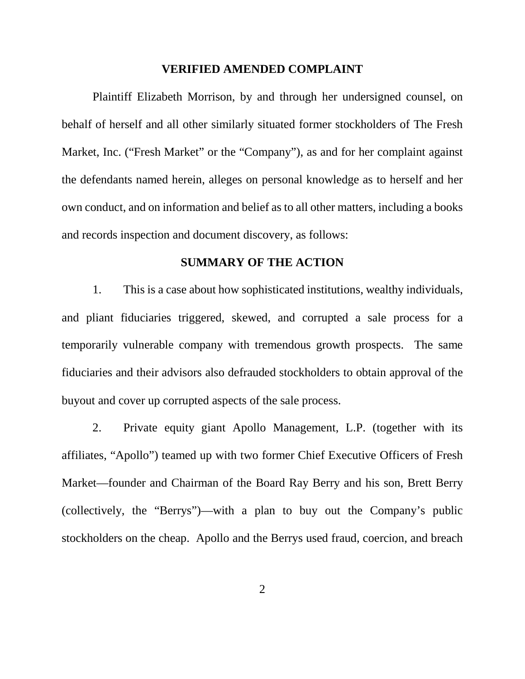#### **VERIFIED AMENDED COMPLAINT**

Plaintiff Elizabeth Morrison, by and through her undersigned counsel, on behalf of herself and all other similarly situated former stockholders of The Fresh Market, Inc. ("Fresh Market" or the "Company"), as and for her complaint against the defendants named herein, alleges on personal knowledge as to herself and her own conduct, and on information and belief as to all other matters, including a books and records inspection and document discovery, as follows:

# **SUMMARY OF THE ACTION**

1. This is a case about how sophisticated institutions, wealthy individuals, and pliant fiduciaries triggered, skewed, and corrupted a sale process for a temporarily vulnerable company with tremendous growth prospects. The same fiduciaries and their advisors also defrauded stockholders to obtain approval of the buyout and cover up corrupted aspects of the sale process.

2. Private equity giant Apollo Management, L.P. (together with its affiliates, "Apollo") teamed up with two former Chief Executive Officers of Fresh Market—founder and Chairman of the Board Ray Berry and his son, Brett Berry (collectively, the "Berrys")—with a plan to buy out the Company's public stockholders on the cheap. Apollo and the Berrys used fraud, coercion, and breach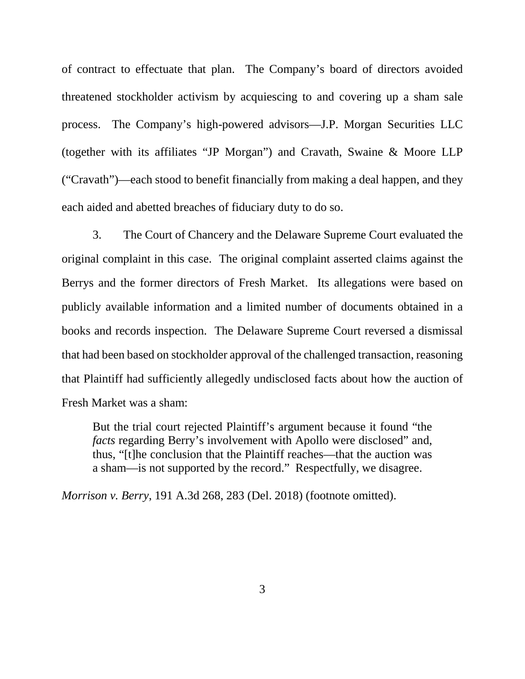of contract to effectuate that plan. The Company's board of directors avoided threatened stockholder activism by acquiescing to and covering up a sham sale process. The Company's high-powered advisors—J.P. Morgan Securities LLC (together with its affiliates "JP Morgan") and Cravath, Swaine & Moore LLP ("Cravath")—each stood to benefit financially from making a deal happen, and they each aided and abetted breaches of fiduciary duty to do so.

3. The Court of Chancery and the Delaware Supreme Court evaluated the original complaint in this case. The original complaint asserted claims against the Berrys and the former directors of Fresh Market. Its allegations were based on publicly available information and a limited number of documents obtained in a books and records inspection. The Delaware Supreme Court reversed a dismissal that had been based on stockholder approval of the challenged transaction, reasoning that Plaintiff had sufficiently allegedly undisclosed facts about how the auction of Fresh Market was a sham:

But the trial court rejected Plaintiff's argument because it found "the *facts* regarding Berry's involvement with Apollo were disclosed" and, thus, "[t]he conclusion that the Plaintiff reaches—that the auction was a sham—is not supported by the record." Respectfully, we disagree.

*Morrison v. Berry*, 191 A.3d 268, 283 (Del. 2018) (footnote omitted).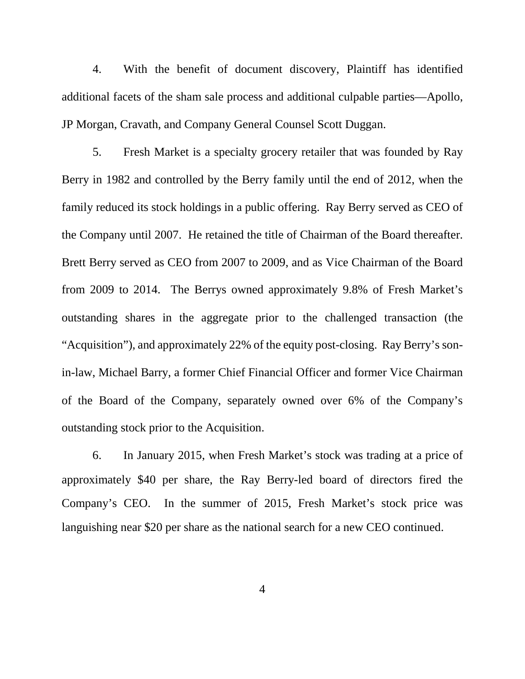4. With the benefit of document discovery, Plaintiff has identified additional facets of the sham sale process and additional culpable parties—Apollo, JP Morgan, Cravath, and Company General Counsel Scott Duggan.

5. Fresh Market is a specialty grocery retailer that was founded by Ray Berry in 1982 and controlled by the Berry family until the end of 2012, when the family reduced its stock holdings in a public offering. Ray Berry served as CEO of the Company until 2007. He retained the title of Chairman of the Board thereafter. Brett Berry served as CEO from 2007 to 2009, and as Vice Chairman of the Board from 2009 to 2014. The Berrys owned approximately 9.8% of Fresh Market's outstanding shares in the aggregate prior to the challenged transaction (the "Acquisition"), and approximately 22% of the equity post-closing. Ray Berry's sonin-law, Michael Barry, a former Chief Financial Officer and former Vice Chairman of the Board of the Company, separately owned over 6% of the Company's outstanding stock prior to the Acquisition.

6. In January 2015, when Fresh Market's stock was trading at a price of approximately \$40 per share, the Ray Berry-led board of directors fired the Company's CEO. In the summer of 2015, Fresh Market's stock price was languishing near \$20 per share as the national search for a new CEO continued.

4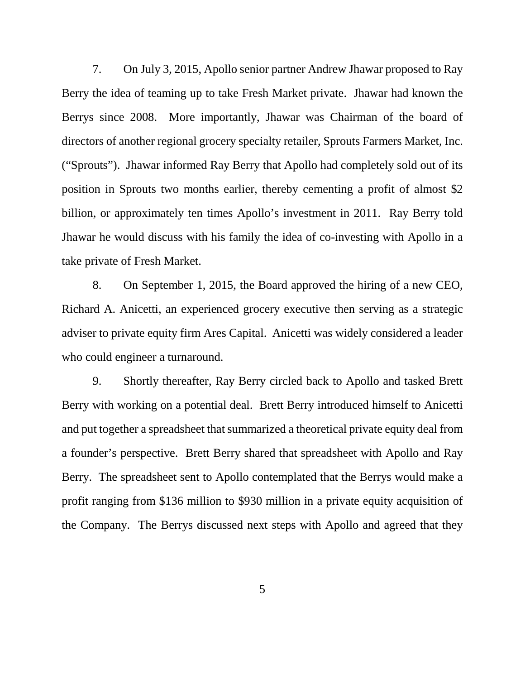7. On July 3, 2015, Apollo senior partner Andrew Jhawar proposed to Ray Berry the idea of teaming up to take Fresh Market private. Jhawar had known the Berrys since 2008. More importantly, Jhawar was Chairman of the board of directors of another regional grocery specialty retailer, Sprouts Farmers Market, Inc. ("Sprouts"). Jhawar informed Ray Berry that Apollo had completely sold out of its position in Sprouts two months earlier, thereby cementing a profit of almost \$2 billion, or approximately ten times Apollo's investment in 2011. Ray Berry told Jhawar he would discuss with his family the idea of co-investing with Apollo in a take private of Fresh Market.

8. On September 1, 2015, the Board approved the hiring of a new CEO, Richard A. Anicetti, an experienced grocery executive then serving as a strategic adviser to private equity firm Ares Capital. Anicetti was widely considered a leader who could engineer a turnaround.

9. Shortly thereafter, Ray Berry circled back to Apollo and tasked Brett Berry with working on a potential deal. Brett Berry introduced himself to Anicetti and put together a spreadsheet that summarized a theoretical private equity deal from a founder's perspective. Brett Berry shared that spreadsheet with Apollo and Ray Berry. The spreadsheet sent to Apollo contemplated that the Berrys would make a profit ranging from \$136 million to \$930 million in a private equity acquisition of the Company. The Berrys discussed next steps with Apollo and agreed that they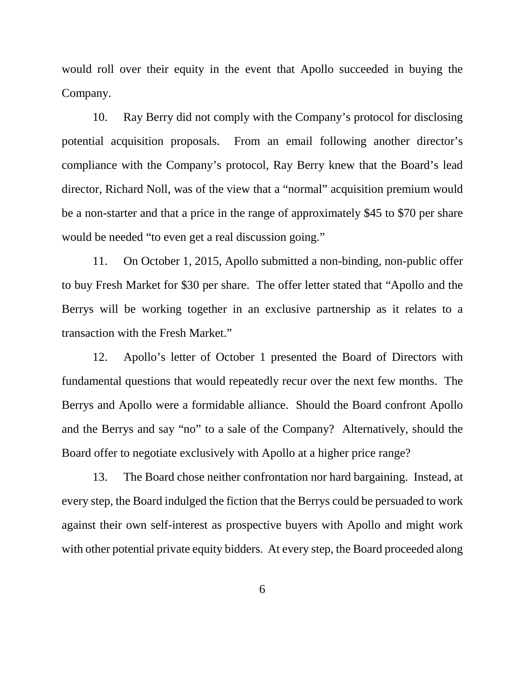would roll over their equity in the event that Apollo succeeded in buying the Company.

10. Ray Berry did not comply with the Company's protocol for disclosing potential acquisition proposals. From an email following another director's compliance with the Company's protocol, Ray Berry knew that the Board's lead director, Richard Noll, was of the view that a "normal" acquisition premium would be a non-starter and that a price in the range of approximately \$45 to \$70 per share would be needed "to even get a real discussion going."

11. On October 1, 2015, Apollo submitted a non-binding, non-public offer to buy Fresh Market for \$30 per share. The offer letter stated that "Apollo and the Berrys will be working together in an exclusive partnership as it relates to a transaction with the Fresh Market."

12. Apollo's letter of October 1 presented the Board of Directors with fundamental questions that would repeatedly recur over the next few months. The Berrys and Apollo were a formidable alliance. Should the Board confront Apollo and the Berrys and say "no" to a sale of the Company? Alternatively, should the Board offer to negotiate exclusively with Apollo at a higher price range?

13. The Board chose neither confrontation nor hard bargaining. Instead, at every step, the Board indulged the fiction that the Berrys could be persuaded to work against their own self-interest as prospective buyers with Apollo and might work with other potential private equity bidders. At every step, the Board proceeded along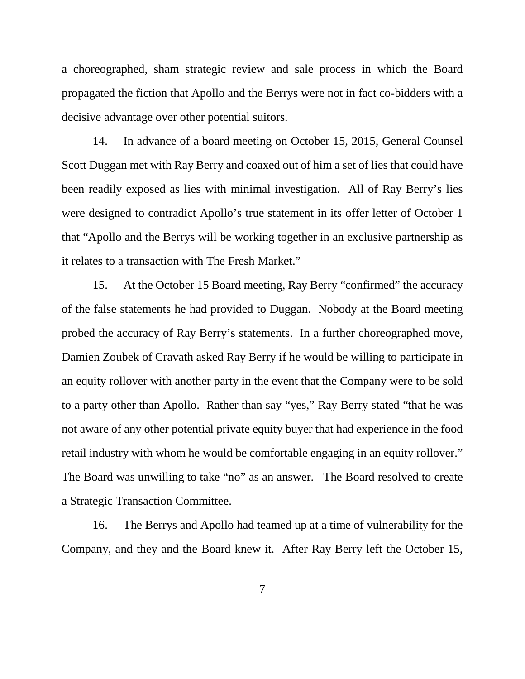a choreographed, sham strategic review and sale process in which the Board propagated the fiction that Apollo and the Berrys were not in fact co-bidders with a decisive advantage over other potential suitors.

14. In advance of a board meeting on October 15, 2015, General Counsel Scott Duggan met with Ray Berry and coaxed out of him a set of lies that could have been readily exposed as lies with minimal investigation. All of Ray Berry's lies were designed to contradict Apollo's true statement in its offer letter of October 1 that "Apollo and the Berrys will be working together in an exclusive partnership as it relates to a transaction with The Fresh Market."

15. At the October 15 Board meeting, Ray Berry "confirmed" the accuracy of the false statements he had provided to Duggan. Nobody at the Board meeting probed the accuracy of Ray Berry's statements. In a further choreographed move, Damien Zoubek of Cravath asked Ray Berry if he would be willing to participate in an equity rollover with another party in the event that the Company were to be sold to a party other than Apollo. Rather than say "yes," Ray Berry stated "that he was not aware of any other potential private equity buyer that had experience in the food retail industry with whom he would be comfortable engaging in an equity rollover." The Board was unwilling to take "no" as an answer. The Board resolved to create a Strategic Transaction Committee.

16. The Berrys and Apollo had teamed up at a time of vulnerability for the Company, and they and the Board knew it. After Ray Berry left the October 15,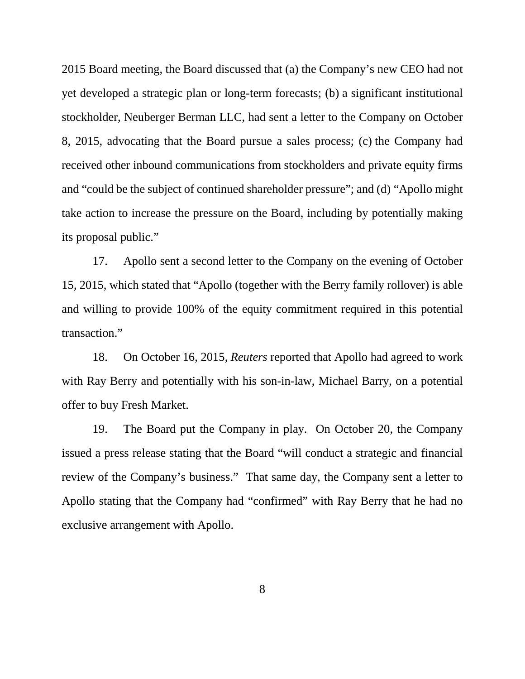2015 Board meeting, the Board discussed that (a) the Company's new CEO had not yet developed a strategic plan or long-term forecasts; (b) a significant institutional stockholder, Neuberger Berman LLC, had sent a letter to the Company on October 8, 2015, advocating that the Board pursue a sales process; (c) the Company had received other inbound communications from stockholders and private equity firms and "could be the subject of continued shareholder pressure"; and (d) "Apollo might take action to increase the pressure on the Board, including by potentially making its proposal public."

17. Apollo sent a second letter to the Company on the evening of October 15, 2015, which stated that "Apollo (together with the Berry family rollover) is able and willing to provide 100% of the equity commitment required in this potential transaction."

18. On October 16, 2015, *Reuters* reported that Apollo had agreed to work with Ray Berry and potentially with his son-in-law, Michael Barry, on a potential offer to buy Fresh Market.

19. The Board put the Company in play. On October 20, the Company issued a press release stating that the Board "will conduct a strategic and financial review of the Company's business." That same day, the Company sent a letter to Apollo stating that the Company had "confirmed" with Ray Berry that he had no exclusive arrangement with Apollo.

8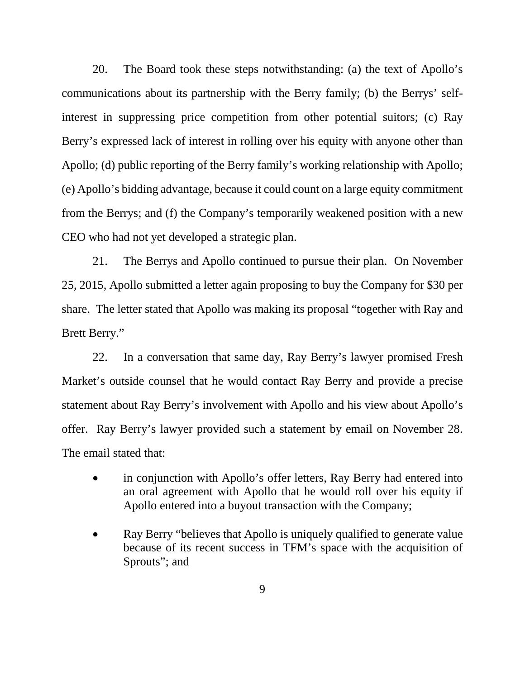20. The Board took these steps notwithstanding: (a) the text of Apollo's communications about its partnership with the Berry family; (b) the Berrys' selfinterest in suppressing price competition from other potential suitors; (c) Ray Berry's expressed lack of interest in rolling over his equity with anyone other than Apollo; (d) public reporting of the Berry family's working relationship with Apollo; (e) Apollo's bidding advantage, because it could count on a large equity commitment from the Berrys; and (f) the Company's temporarily weakened position with a new CEO who had not yet developed a strategic plan.

21. The Berrys and Apollo continued to pursue their plan. On November 25, 2015, Apollo submitted a letter again proposing to buy the Company for \$30 per share. The letter stated that Apollo was making its proposal "together with Ray and Brett Berry."

22. In a conversation that same day, Ray Berry's lawyer promised Fresh Market's outside counsel that he would contact Ray Berry and provide a precise statement about Ray Berry's involvement with Apollo and his view about Apollo's offer. Ray Berry's lawyer provided such a statement by email on November 28. The email stated that:

- in conjunction with Apollo's offer letters, Ray Berry had entered into an oral agreement with Apollo that he would roll over his equity if Apollo entered into a buyout transaction with the Company;
- Ray Berry "believes that Apollo is uniquely qualified to generate value because of its recent success in TFM's space with the acquisition of Sprouts"; and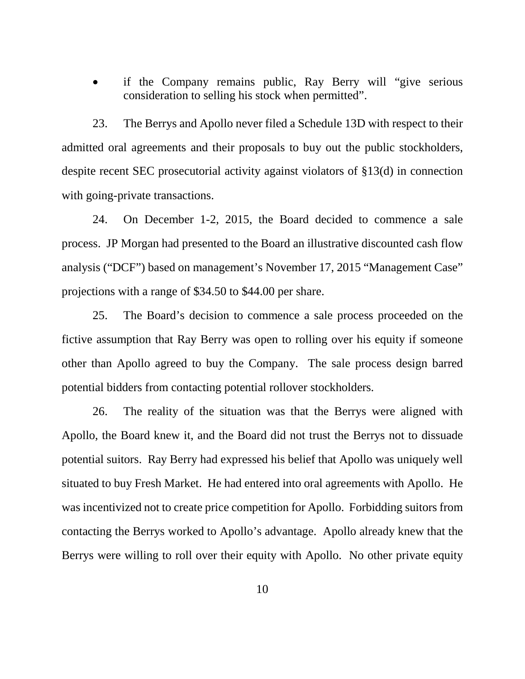if the Company remains public, Ray Berry will "give serious" consideration to selling his stock when permitted".

23. The Berrys and Apollo never filed a Schedule 13D with respect to their admitted oral agreements and their proposals to buy out the public stockholders, despite recent SEC prosecutorial activity against violators of §13(d) in connection with going-private transactions.

24. On December 1-2, 2015, the Board decided to commence a sale process. JP Morgan had presented to the Board an illustrative discounted cash flow analysis ("DCF") based on management's November 17, 2015 "Management Case" projections with a range of \$34.50 to \$44.00 per share.

25. The Board's decision to commence a sale process proceeded on the fictive assumption that Ray Berry was open to rolling over his equity if someone other than Apollo agreed to buy the Company. The sale process design barred potential bidders from contacting potential rollover stockholders.

26. The reality of the situation was that the Berrys were aligned with Apollo, the Board knew it, and the Board did not trust the Berrys not to dissuade potential suitors. Ray Berry had expressed his belief that Apollo was uniquely well situated to buy Fresh Market. He had entered into oral agreements with Apollo. He was incentivized not to create price competition for Apollo. Forbidding suitors from contacting the Berrys worked to Apollo's advantage. Apollo already knew that the Berrys were willing to roll over their equity with Apollo. No other private equity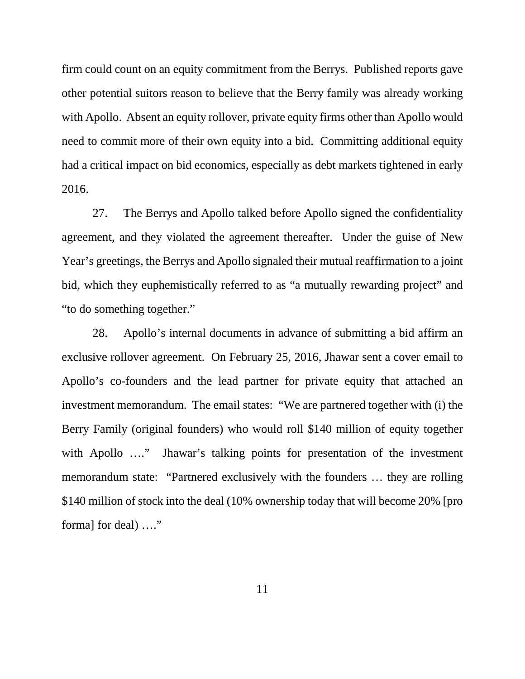firm could count on an equity commitment from the Berrys. Published reports gave other potential suitors reason to believe that the Berry family was already working with Apollo. Absent an equity rollover, private equity firms other than Apollo would need to commit more of their own equity into a bid. Committing additional equity had a critical impact on bid economics, especially as debt markets tightened in early 2016.

27. The Berrys and Apollo talked before Apollo signed the confidentiality agreement, and they violated the agreement thereafter. Under the guise of New Year's greetings, the Berrys and Apollo signaled their mutual reaffirmation to a joint bid, which they euphemistically referred to as "a mutually rewarding project" and "to do something together."

28. Apollo's internal documents in advance of submitting a bid affirm an exclusive rollover agreement. On February 25, 2016, Jhawar sent a cover email to Apollo's co-founders and the lead partner for private equity that attached an investment memorandum. The email states: "We are partnered together with (i) the Berry Family (original founders) who would roll \$140 million of equity together with Apollo ...." Jhawar's talking points for presentation of the investment memorandum state: "Partnered exclusively with the founders … they are rolling \$140 million of stock into the deal (10% ownership today that will become 20% [pro forma] for deal) ...."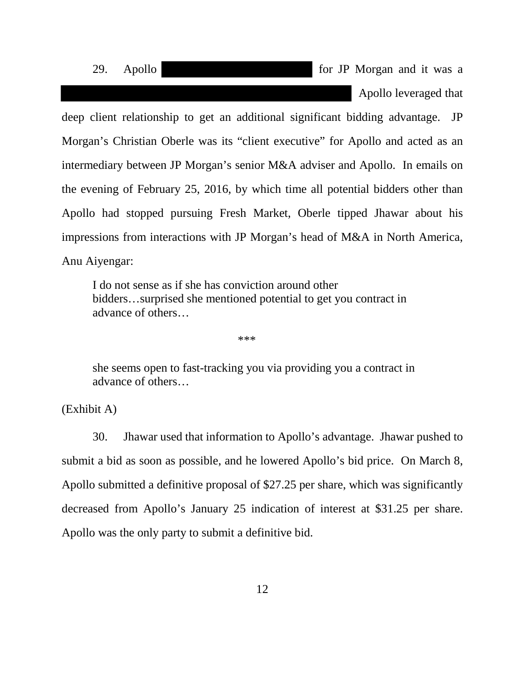29. Apollo **for JP** Morgan and it was a Apollo leveraged that

deep client relationship to get an additional significant bidding advantage. JP Morgan's Christian Oberle was its "client executive" for Apollo and acted as an intermediary between JP Morgan's senior M&A adviser and Apollo. In emails on the evening of February 25, 2016, by which time all potential bidders other than Apollo had stopped pursuing Fresh Market, Oberle tipped Jhawar about his impressions from interactions with JP Morgan's head of M&A in North America, Anu Aiyengar:

I do not sense as if she has conviction around other bidders…surprised she mentioned potential to get you contract in advance of others…

\*\*\*

she seems open to fast-tracking you via providing you a contract in advance of others…

(Exhibit A)

30. Jhawar used that information to Apollo's advantage. Jhawar pushed to submit a bid as soon as possible, and he lowered Apollo's bid price. On March 8, Apollo submitted a definitive proposal of \$27.25 per share, which was significantly decreased from Apollo's January 25 indication of interest at \$31.25 per share. Apollo was the only party to submit a definitive bid.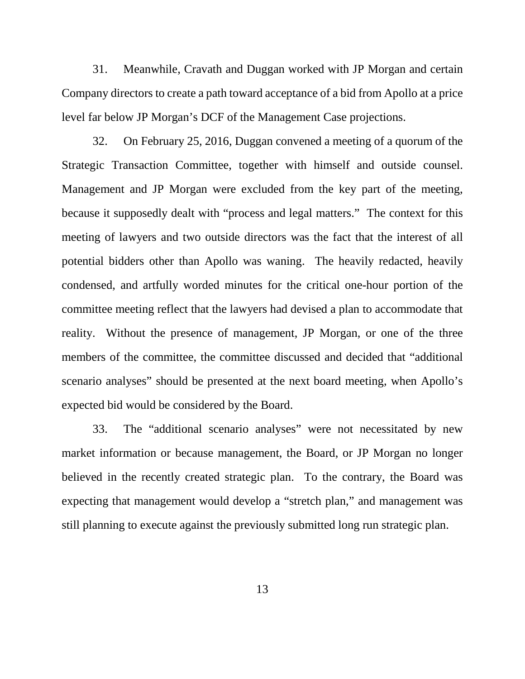31. Meanwhile, Cravath and Duggan worked with JP Morgan and certain Company directors to create a path toward acceptance of a bid from Apollo at a price level far below JP Morgan's DCF of the Management Case projections.

32. On February 25, 2016, Duggan convened a meeting of a quorum of the Strategic Transaction Committee, together with himself and outside counsel. Management and JP Morgan were excluded from the key part of the meeting, because it supposedly dealt with "process and legal matters." The context for this meeting of lawyers and two outside directors was the fact that the interest of all potential bidders other than Apollo was waning. The heavily redacted, heavily condensed, and artfully worded minutes for the critical one-hour portion of the committee meeting reflect that the lawyers had devised a plan to accommodate that reality. Without the presence of management, JP Morgan, or one of the three members of the committee, the committee discussed and decided that "additional scenario analyses" should be presented at the next board meeting, when Apollo's expected bid would be considered by the Board.

33. The "additional scenario analyses" were not necessitated by new market information or because management, the Board, or JP Morgan no longer believed in the recently created strategic plan. To the contrary, the Board was expecting that management would develop a "stretch plan," and management was still planning to execute against the previously submitted long run strategic plan.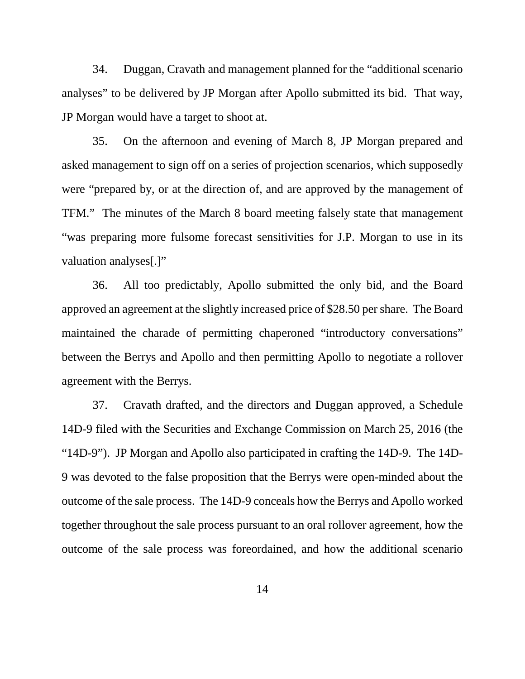34. Duggan, Cravath and management planned for the "additional scenario analyses" to be delivered by JP Morgan after Apollo submitted its bid. That way, JP Morgan would have a target to shoot at.

35. On the afternoon and evening of March 8, JP Morgan prepared and asked management to sign off on a series of projection scenarios, which supposedly were "prepared by, or at the direction of, and are approved by the management of TFM." The minutes of the March 8 board meeting falsely state that management "was preparing more fulsome forecast sensitivities for J.P. Morgan to use in its valuation analyses[.]"

36. All too predictably, Apollo submitted the only bid, and the Board approved an agreement at the slightly increased price of \$28.50 per share. The Board maintained the charade of permitting chaperoned "introductory conversations" between the Berrys and Apollo and then permitting Apollo to negotiate a rollover agreement with the Berrys.

37. Cravath drafted, and the directors and Duggan approved, a Schedule 14D-9 filed with the Securities and Exchange Commission on March 25, 2016 (the "14D-9"). JP Morgan and Apollo also participated in crafting the 14D-9. The 14D-9 was devoted to the false proposition that the Berrys were open-minded about the outcome of the sale process. The 14D-9 conceals how the Berrys and Apollo worked together throughout the sale process pursuant to an oral rollover agreement, how the outcome of the sale process was foreordained, and how the additional scenario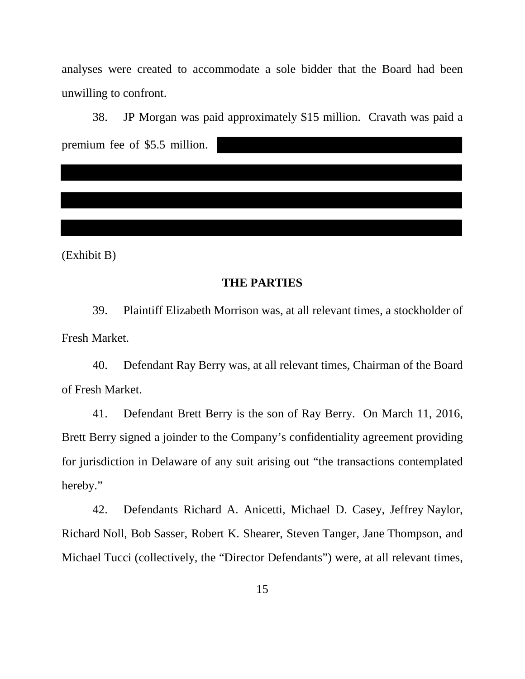analyses were created to accommodate a sole bidder that the Board had been unwilling to confront.

38. JP Morgan was paid approximately \$15 million. Cravath was paid a premium fee of \$5.5 million.

(Exhibit B)

### **THE PARTIES**

39. Plaintiff Elizabeth Morrison was, at all relevant times, a stockholder of Fresh Market.

40. Defendant Ray Berry was, at all relevant times, Chairman of the Board of Fresh Market.

41. Defendant Brett Berry is the son of Ray Berry. On March 11, 2016, Brett Berry signed a joinder to the Company's confidentiality agreement providing for jurisdiction in Delaware of any suit arising out "the transactions contemplated hereby."

42. Defendants Richard A. Anicetti, Michael D. Casey, Jeffrey Naylor, Richard Noll, Bob Sasser, Robert K. Shearer, Steven Tanger, Jane Thompson, and Michael Tucci (collectively, the "Director Defendants") were, at all relevant times,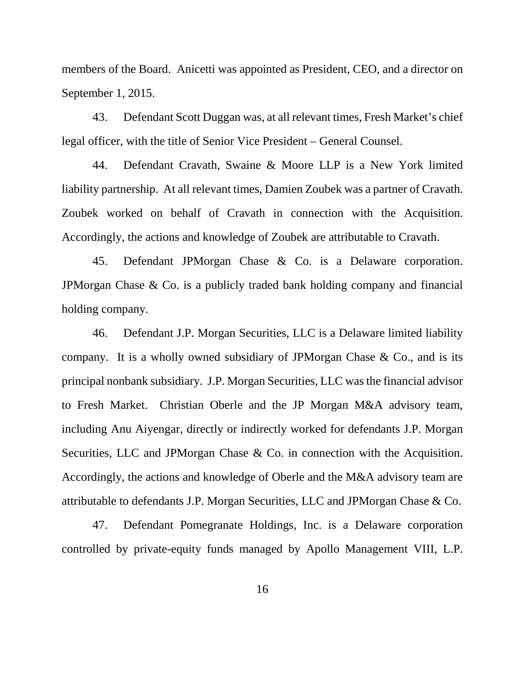members of the Board. Anicetti was appointed as President, CEO, and a director on September 1, 2015.

43. Defendant Scott Duggan was, at all relevant times, Fresh Market's chief legal officer, with the title of Senior Vice President – General Counsel.

44. Defendant Cravath, Swaine & Moore LLP is a New York limited liability partnership. At all relevant times, Damien Zoubek was a partner of Cravath. Zoubek worked on behalf of Cravath in connection with the Acquisition. Accordingly, the actions and knowledge of Zoubek are attributable to Cravath.

45. Defendant JPMorgan Chase & Co. is a Delaware corporation. JPMorgan Chase & Co. is a publicly traded bank holding company and financial holding company.

46. Defendant J.P. Morgan Securities, LLC is a Delaware limited liability company. It is a wholly owned subsidiary of JPMorgan Chase  $\&$  Co., and is its principal nonbank subsidiary. J.P. Morgan Securities, LLC was the financial advisor to Fresh Market. Christian Oberle and the JP Morgan M&A advisory team, including Anu Aiyengar, directly or indirectly worked for defendants J.P. Morgan Securities, LLC and JPMorgan Chase & Co. in connection with the Acquisition. Accordingly, the actions and knowledge of Oberle and the M&A advisory team are attributable to defendants J.P. Morgan Securities, LLC and JPMorgan Chase & Co.

47. Defendant Pomegranate Holdings, Inc. is a Delaware corporation controlled by private-equity funds managed by Apollo Management VIII, L.P.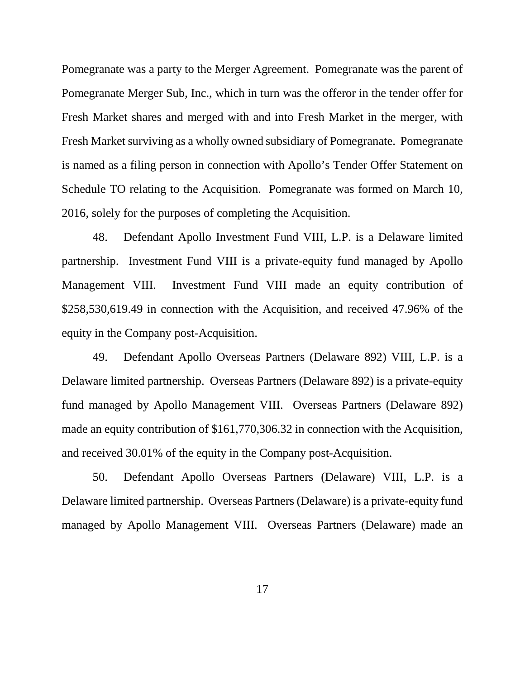Pomegranate was a party to the Merger Agreement. Pomegranate was the parent of Pomegranate Merger Sub, Inc., which in turn was the offeror in the tender offer for Fresh Market shares and merged with and into Fresh Market in the merger, with Fresh Market surviving as a wholly owned subsidiary of Pomegranate. Pomegranate is named as a filing person in connection with Apollo's Tender Offer Statement on Schedule TO relating to the Acquisition. Pomegranate was formed on March 10, 2016, solely for the purposes of completing the Acquisition.

48. Defendant Apollo Investment Fund VIII, L.P. is a Delaware limited partnership. Investment Fund VIII is a private-equity fund managed by Apollo Management VIII. Investment Fund VIII made an equity contribution of \$258,530,619.49 in connection with the Acquisition, and received 47.96% of the equity in the Company post-Acquisition.

49. Defendant Apollo Overseas Partners (Delaware 892) VIII, L.P. is a Delaware limited partnership. Overseas Partners (Delaware 892) is a private-equity fund managed by Apollo Management VIII. Overseas Partners (Delaware 892) made an equity contribution of \$161,770,306.32 in connection with the Acquisition, and received 30.01% of the equity in the Company post-Acquisition.

50. Defendant Apollo Overseas Partners (Delaware) VIII, L.P. is a Delaware limited partnership. Overseas Partners (Delaware) is a private-equity fund managed by Apollo Management VIII. Overseas Partners (Delaware) made an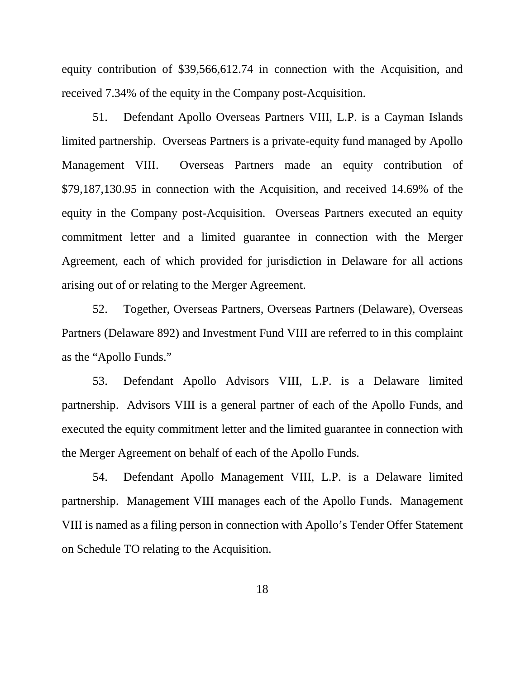equity contribution of \$39,566,612.74 in connection with the Acquisition, and received 7.34% of the equity in the Company post-Acquisition.

51. Defendant Apollo Overseas Partners VIII, L.P. is a Cayman Islands limited partnership. Overseas Partners is a private-equity fund managed by Apollo Management VIII. Overseas Partners made an equity contribution of \$79,187,130.95 in connection with the Acquisition, and received 14.69% of the equity in the Company post-Acquisition. Overseas Partners executed an equity commitment letter and a limited guarantee in connection with the Merger Agreement, each of which provided for jurisdiction in Delaware for all actions arising out of or relating to the Merger Agreement.

52. Together, Overseas Partners, Overseas Partners (Delaware), Overseas Partners (Delaware 892) and Investment Fund VIII are referred to in this complaint as the "Apollo Funds."

53. Defendant Apollo Advisors VIII, L.P. is a Delaware limited partnership. Advisors VIII is a general partner of each of the Apollo Funds, and executed the equity commitment letter and the limited guarantee in connection with the Merger Agreement on behalf of each of the Apollo Funds.

54. Defendant Apollo Management VIII, L.P. is a Delaware limited partnership. Management VIII manages each of the Apollo Funds. Management VIII is named as a filing person in connection with Apollo's Tender Offer Statement on Schedule TO relating to the Acquisition.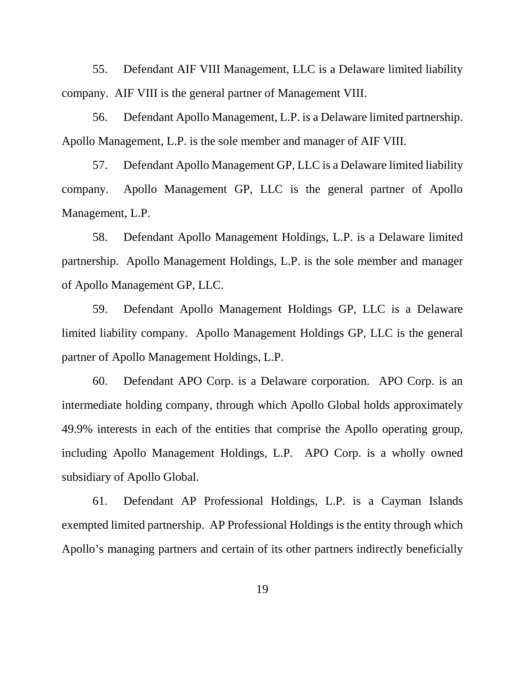55. Defendant AIF VIII Management, LLC is a Delaware limited liability company. AIF VIII is the general partner of Management VIII.

56. Defendant Apollo Management, L.P. is a Delaware limited partnership. Apollo Management, L.P. is the sole member and manager of AIF VIII.

57. Defendant Apollo Management GP, LLC is a Delaware limited liability company. Apollo Management GP, LLC is the general partner of Apollo Management, L.P.

58. Defendant Apollo Management Holdings, L.P. is a Delaware limited partnership. Apollo Management Holdings, L.P. is the sole member and manager of Apollo Management GP, LLC.

59. Defendant Apollo Management Holdings GP, LLC is a Delaware limited liability company. Apollo Management Holdings GP, LLC is the general partner of Apollo Management Holdings, L.P.

60. Defendant APO Corp. is a Delaware corporation. APO Corp. is an intermediate holding company, through which Apollo Global holds approximately 49.9% interests in each of the entities that comprise the Apollo operating group, including Apollo Management Holdings, L.P. APO Corp. is a wholly owned subsidiary of Apollo Global.

61. Defendant AP Professional Holdings, L.P. is a Cayman Islands exempted limited partnership. AP Professional Holdings is the entity through which Apollo's managing partners and certain of its other partners indirectly beneficially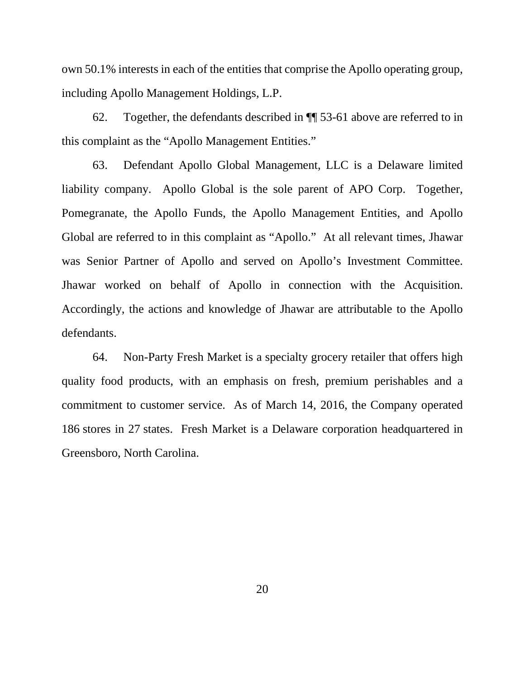own 50.1% interests in each of the entities that comprise the Apollo operating group, including Apollo Management Holdings, L.P.

62. Together, the defendants described in ¶¶ 53-61 above are referred to in this complaint as the "Apollo Management Entities."

63. Defendant Apollo Global Management, LLC is a Delaware limited liability company. Apollo Global is the sole parent of APO Corp. Together, Pomegranate, the Apollo Funds, the Apollo Management Entities, and Apollo Global are referred to in this complaint as "Apollo." At all relevant times, Jhawar was Senior Partner of Apollo and served on Apollo's Investment Committee. Jhawar worked on behalf of Apollo in connection with the Acquisition. Accordingly, the actions and knowledge of Jhawar are attributable to the Apollo defendants.

64. Non-Party Fresh Market is a specialty grocery retailer that offers high quality food products, with an emphasis on fresh, premium perishables and a commitment to customer service. As of March 14, 2016, the Company operated 186 stores in 27 states. Fresh Market is a Delaware corporation headquartered in Greensboro, North Carolina.

20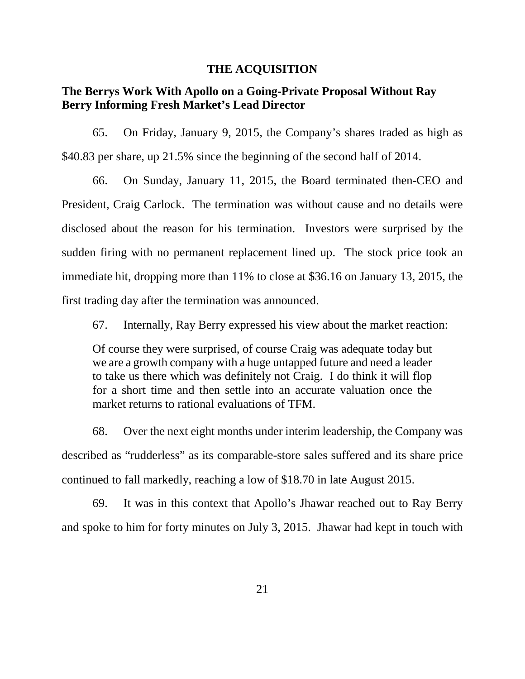#### **THE ACQUISITION**

# **The Berrys Work With Apollo on a Going-Private Proposal Without Ray Berry Informing Fresh Market's Lead Director**

65. On Friday, January 9, 2015, the Company's shares traded as high as \$40.83 per share, up 21.5% since the beginning of the second half of 2014.

66. On Sunday, January 11, 2015, the Board terminated then-CEO and President, Craig Carlock. The termination was without cause and no details were disclosed about the reason for his termination. Investors were surprised by the sudden firing with no permanent replacement lined up. The stock price took an immediate hit, dropping more than 11% to close at \$36.16 on January 13, 2015, the first trading day after the termination was announced.

67. Internally, Ray Berry expressed his view about the market reaction:

Of course they were surprised, of course Craig was adequate today but we are a growth company with a huge untapped future and need a leader to take us there which was definitely not Craig. I do think it will flop for a short time and then settle into an accurate valuation once the market returns to rational evaluations of TFM.

68. Over the next eight months under interim leadership, the Company was described as "rudderless" as its comparable-store sales suffered and its share price continued to fall markedly, reaching a low of \$18.70 in late August 2015.

69. It was in this context that Apollo's Jhawar reached out to Ray Berry and spoke to him for forty minutes on July 3, 2015. Jhawar had kept in touch with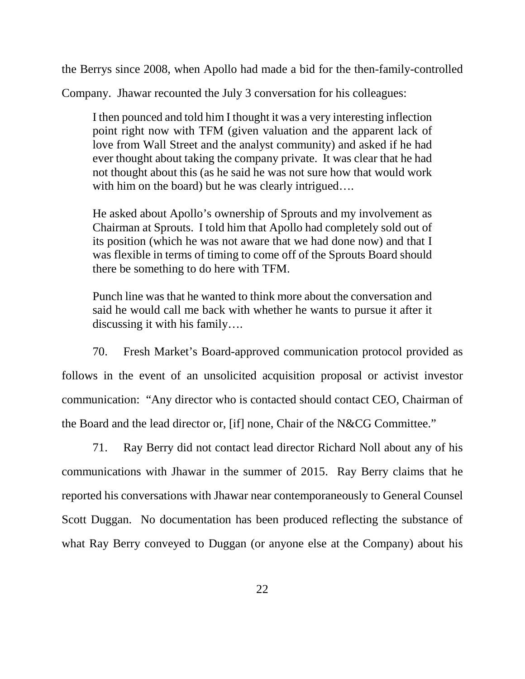the Berrys since 2008, when Apollo had made a bid for the then-family-controlled

Company. Jhawar recounted the July 3 conversation for his colleagues:

I then pounced and told him I thought it was a very interesting inflection point right now with TFM (given valuation and the apparent lack of love from Wall Street and the analyst community) and asked if he had ever thought about taking the company private. It was clear that he had not thought about this (as he said he was not sure how that would work with him on the board) but he was clearly intrigued....

He asked about Apollo's ownership of Sprouts and my involvement as Chairman at Sprouts. I told him that Apollo had completely sold out of its position (which he was not aware that we had done now) and that I was flexible in terms of timing to come off of the Sprouts Board should there be something to do here with TFM.

Punch line was that he wanted to think more about the conversation and said he would call me back with whether he wants to pursue it after it discussing it with his family….

70. Fresh Market's Board-approved communication protocol provided as follows in the event of an unsolicited acquisition proposal or activist investor communication: "Any director who is contacted should contact CEO, Chairman of the Board and the lead director or, [if] none, Chair of the N&CG Committee."

71. Ray Berry did not contact lead director Richard Noll about any of his communications with Jhawar in the summer of 2015. Ray Berry claims that he reported his conversations with Jhawar near contemporaneously to General Counsel Scott Duggan. No documentation has been produced reflecting the substance of what Ray Berry conveyed to Duggan (or anyone else at the Company) about his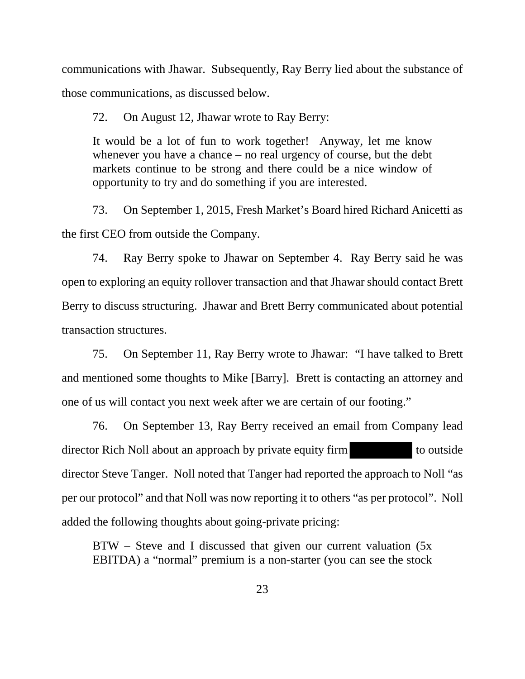communications with Jhawar. Subsequently, Ray Berry lied about the substance of those communications, as discussed below.

72. On August 12, Jhawar wrote to Ray Berry:

It would be a lot of fun to work together! Anyway, let me know whenever you have a chance – no real urgency of course, but the debt markets continue to be strong and there could be a nice window of opportunity to try and do something if you are interested.

73. On September 1, 2015, Fresh Market's Board hired Richard Anicetti as the first CEO from outside the Company.

74. Ray Berry spoke to Jhawar on September 4. Ray Berry said he was open to exploring an equity rollover transaction and that Jhawar should contact Brett Berry to discuss structuring. Jhawar and Brett Berry communicated about potential transaction structures.

75. On September 11, Ray Berry wrote to Jhawar: "I have talked to Brett and mentioned some thoughts to Mike [Barry]. Brett is contacting an attorney and one of us will contact you next week after we are certain of our footing."

76. On September 13, Ray Berry received an email from Company lead director Rich Noll about an approach by private equity firm to outside director Steve Tanger. Noll noted that Tanger had reported the approach to Noll "as per our protocol" and that Noll was now reporting it to others "as per protocol". Noll added the following thoughts about going-private pricing:

BTW – Steve and I discussed that given our current valuation (5x EBITDA) a "normal" premium is a non-starter (you can see the stock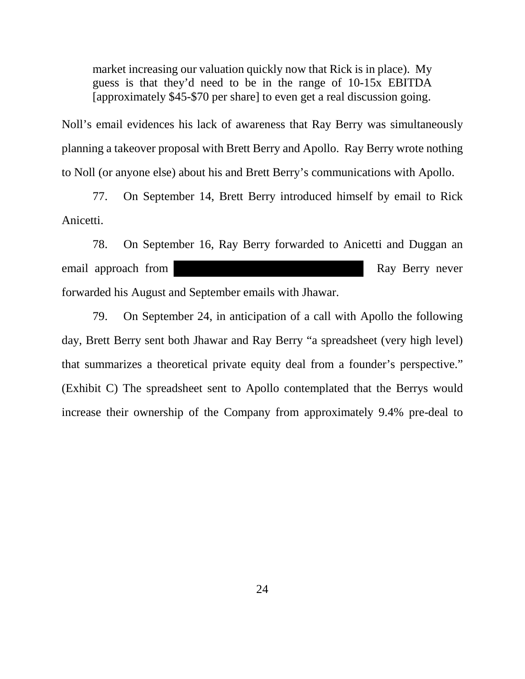market increasing our valuation quickly now that Rick is in place). My guess is that they'd need to be in the range of 10-15x EBITDA [approximately \$45-\$70 per share] to even get a real discussion going.

Noll's email evidences his lack of awareness that Ray Berry was simultaneously planning a takeover proposal with Brett Berry and Apollo. Ray Berry wrote nothing to Noll (or anyone else) about his and Brett Berry's communications with Apollo.

77. On September 14, Brett Berry introduced himself by email to Rick Anicetti.

78. On September 16, Ray Berry forwarded to Anicetti and Duggan an email approach from Ray Berry never forwarded his August and September emails with Jhawar.

79. On September 24, in anticipation of a call with Apollo the following day, Brett Berry sent both Jhawar and Ray Berry "a spreadsheet (very high level) that summarizes a theoretical private equity deal from a founder's perspective." (Exhibit C) The spreadsheet sent to Apollo contemplated that the Berrys would increase their ownership of the Company from approximately 9.4% pre-deal to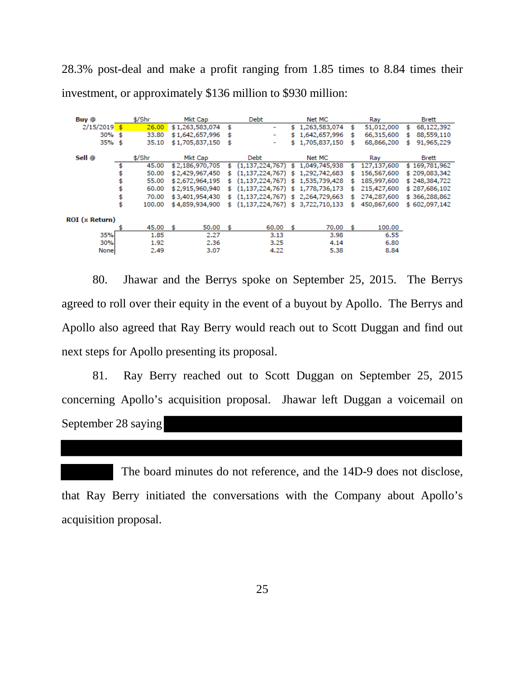28.3% post-deal and make a profit ranging from 1.85 times to 8.84 times their investment, or approximately \$136 million to \$930 million:

| Buy @          | \$/Shr       | Mkt Cap         |     | Debt                               | Net MC |                 | Ray |             | <b>Brett</b> |               |
|----------------|--------------|-----------------|-----|------------------------------------|--------|-----------------|-----|-------------|--------------|---------------|
| $2/15/2019$ \$ | 26.00        | \$1,263,583,074 | \$  | ۰                                  |        | \$1,263,583,074 | \$  | 51,012,000  | \$.          | 68,122,392    |
| $30\%$ \$      | 33.80        | \$1,642,657,996 | \$  | ٠                                  |        | \$1,642,657,996 | \$  | 66,315,600  | \$           | 88,559,110    |
| $35%$ \$       | 35.10        | \$1,705,837,150 | \$  | ٠                                  |        | \$1,705,837,150 | \$  | 68,866,200  | \$           | 91,965,229    |
| Sell @         | \$/Shr       | Mkt Cap         |     | <b>Debt</b>                        |        | Net MC          |     | Ray         |              | Brett         |
|                | 45.00        | \$2,186,970,705 | \$  | (1, 137, 224, 767)                 | s.     | 1,049,745,938   |     | 127,137,600 |              | \$169,781,962 |
|                | 50.00        | \$2,429,967,450 |     | (1, 137, 224, 767)                 | s      | 1,292,742,683   |     | 156,567,600 |              | \$209,083,342 |
|                | 55.00        | \$2,672,964,195 | \$  | (1, 137, 224, 767)                 | \$.    | 1,535,739,428   | s   | 185,997,600 |              | \$248,384,722 |
|                | 60.00        | \$2,915,960,940 | s   | (1, 137, 224, 767)                 | - \$   | 1,778,736,173   | s   | 215,427,600 |              | \$287,686,102 |
|                | \$<br>70.00  | \$3,401,954,430 | \$. | $(1,137,224,767)$ \$ 2,264,729,663 |        |                 | \$  | 274,287,600 |              | \$366,288,862 |
|                | \$<br>100.00 | \$4,859,934,900 | \$. | $(1,137,224,767)$ \$ 3,722,710,133 |        |                 | \$  | 450,867,600 |              | \$602,097,142 |
| ROI (x Return) |              |                 |     |                                    |        |                 |     |             |              |               |
|                | 45.00        | 50.00<br>\$.    | -\$ | 60.00                              | - \$   | 70.00           | s.  | 100.00      |              |               |
| 35%            | 1.85         | 2.27            |     | 3.13                               |        | 3.98            |     | 6.55        |              |               |
| 30%            | 1.92         | 2.36            |     | 3.25                               |        | 4.14            |     | 6.80        |              |               |
| None           | 2.49         | 3.07            |     | 4.22                               |        | 5.38            |     | 8.84        |              |               |

80. Jhawar and the Berrys spoke on September 25, 2015. The Berrys agreed to roll over their equity in the event of a buyout by Apollo. The Berrys and Apollo also agreed that Ray Berry would reach out to Scott Duggan and find out next steps for Apollo presenting its proposal.

81. Ray Berry reached out to Scott Duggan on September 25, 2015 concerning Apollo's acquisition proposal. Jhawar left Duggan a voicemail on September 28 saying

 The board minutes do not reference, and the 14D-9 does not disclose, that Ray Berry initiated the conversations with the Company about Apollo's acquisition proposal.

25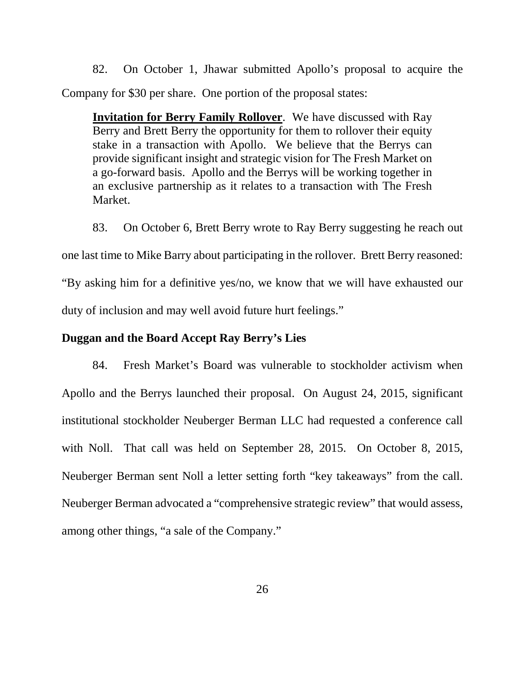82. On October 1, Jhawar submitted Apollo's proposal to acquire the Company for \$30 per share. One portion of the proposal states:

**Invitation for Berry Family Rollover**. We have discussed with Ray Berry and Brett Berry the opportunity for them to rollover their equity stake in a transaction with Apollo. We believe that the Berrys can provide significant insight and strategic vision for The Fresh Market on a go-forward basis. Apollo and the Berrys will be working together in an exclusive partnership as it relates to a transaction with The Fresh Market.

83. On October 6, Brett Berry wrote to Ray Berry suggesting he reach out

one last time to Mike Barry about participating in the rollover. Brett Berry reasoned:

"By asking him for a definitive yes/no, we know that we will have exhausted our duty of inclusion and may well avoid future hurt feelings."

# **Duggan and the Board Accept Ray Berry's Lies**

84. Fresh Market's Board was vulnerable to stockholder activism when Apollo and the Berrys launched their proposal. On August 24, 2015, significant institutional stockholder Neuberger Berman LLC had requested a conference call with Noll. That call was held on September 28, 2015. On October 8, 2015, Neuberger Berman sent Noll a letter setting forth "key takeaways" from the call. Neuberger Berman advocated a "comprehensive strategic review" that would assess, among other things, "a sale of the Company."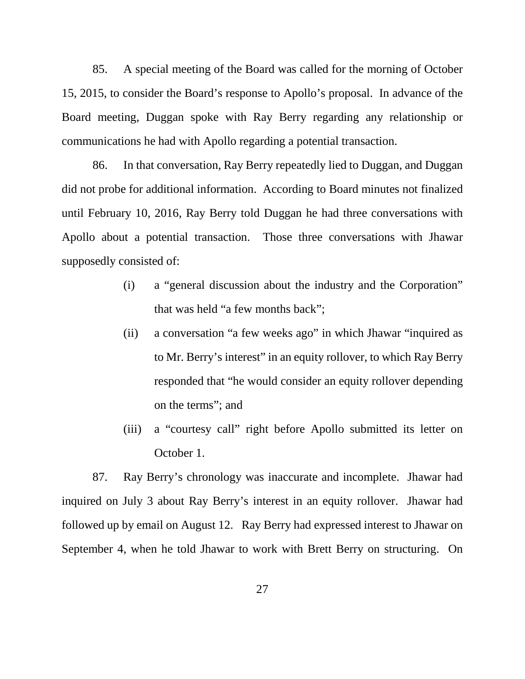85. A special meeting of the Board was called for the morning of October 15, 2015, to consider the Board's response to Apollo's proposal. In advance of the Board meeting, Duggan spoke with Ray Berry regarding any relationship or communications he had with Apollo regarding a potential transaction.

86. In that conversation, Ray Berry repeatedly lied to Duggan, and Duggan did not probe for additional information. According to Board minutes not finalized until February 10, 2016, Ray Berry told Duggan he had three conversations with Apollo about a potential transaction. Those three conversations with Jhawar supposedly consisted of:

- (i) a "general discussion about the industry and the Corporation" that was held "a few months back";
- (ii) a conversation "a few weeks ago" in which Jhawar "inquired as to Mr. Berry's interest" in an equity rollover, to which Ray Berry responded that "he would consider an equity rollover depending on the terms"; and
- (iii) a "courtesy call" right before Apollo submitted its letter on October 1.

87. Ray Berry's chronology was inaccurate and incomplete. Jhawar had inquired on July 3 about Ray Berry's interest in an equity rollover. Jhawar had followed up by email on August 12. Ray Berry had expressed interest to Jhawar on September 4, when he told Jhawar to work with Brett Berry on structuring. On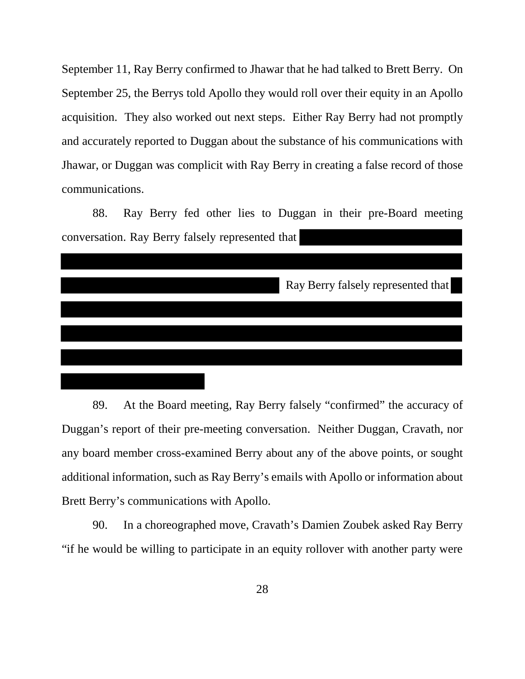September 11, Ray Berry confirmed to Jhawar that he had talked to Brett Berry. On September 25, the Berrys told Apollo they would roll over their equity in an Apollo acquisition. They also worked out next steps. Either Ray Berry had not promptly and accurately reported to Duggan about the substance of his communications with Jhawar, or Duggan was complicit with Ray Berry in creating a false record of those communications.

88. Ray Berry fed other lies to Duggan in their pre-Board meeting conversation. Ray Berry falsely represented that

|  | Ray Berry falsely represented that |
|--|------------------------------------|
|  |                                    |
|  |                                    |
|  |                                    |
|  |                                    |

89. At the Board meeting, Ray Berry falsely "confirmed" the accuracy of Duggan's report of their pre-meeting conversation. Neither Duggan, Cravath, nor any board member cross-examined Berry about any of the above points, or sought additional information, such as Ray Berry's emails with Apollo or information about Brett Berry's communications with Apollo.

90. In a choreographed move, Cravath's Damien Zoubek asked Ray Berry "if he would be willing to participate in an equity rollover with another party were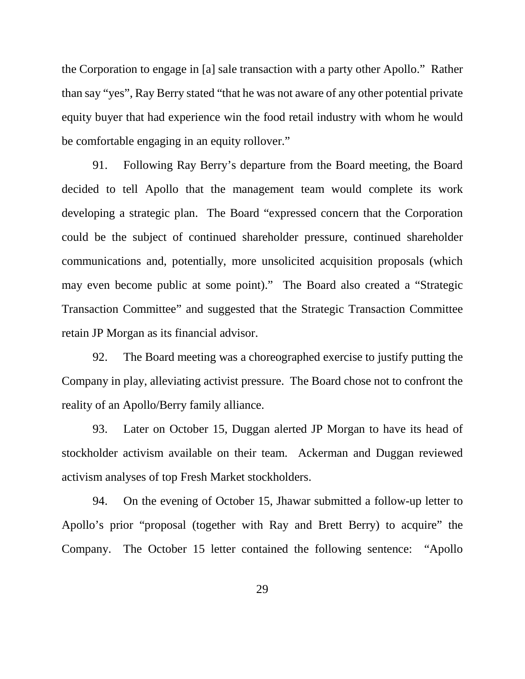the Corporation to engage in [a] sale transaction with a party other Apollo." Rather than say "yes", Ray Berry stated "that he was not aware of any other potential private equity buyer that had experience win the food retail industry with whom he would be comfortable engaging in an equity rollover."

91. Following Ray Berry's departure from the Board meeting, the Board decided to tell Apollo that the management team would complete its work developing a strategic plan. The Board "expressed concern that the Corporation could be the subject of continued shareholder pressure, continued shareholder communications and, potentially, more unsolicited acquisition proposals (which may even become public at some point)." The Board also created a "Strategic Transaction Committee" and suggested that the Strategic Transaction Committee retain JP Morgan as its financial advisor.

92. The Board meeting was a choreographed exercise to justify putting the Company in play, alleviating activist pressure. The Board chose not to confront the reality of an Apollo/Berry family alliance.

93. Later on October 15, Duggan alerted JP Morgan to have its head of stockholder activism available on their team. Ackerman and Duggan reviewed activism analyses of top Fresh Market stockholders.

94. On the evening of October 15, Jhawar submitted a follow-up letter to Apollo's prior "proposal (together with Ray and Brett Berry) to acquire" the Company. The October 15 letter contained the following sentence: "Apollo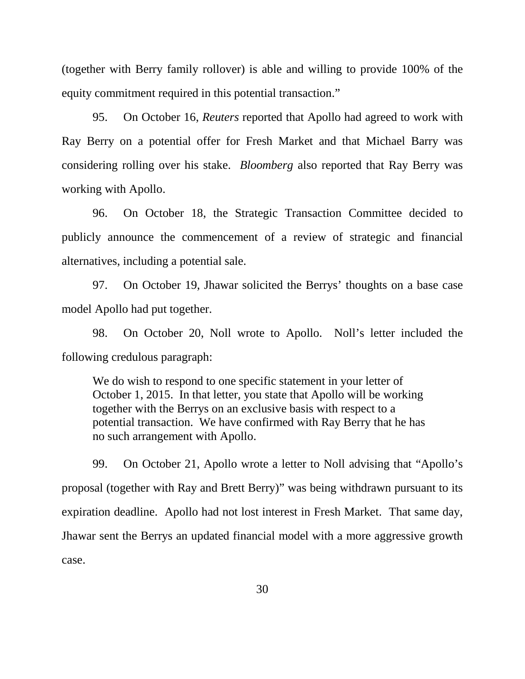(together with Berry family rollover) is able and willing to provide 100% of the equity commitment required in this potential transaction."

95. On October 16, *Reuters* reported that Apollo had agreed to work with Ray Berry on a potential offer for Fresh Market and that Michael Barry was considering rolling over his stake. *Bloomberg* also reported that Ray Berry was working with Apollo.

96. On October 18, the Strategic Transaction Committee decided to publicly announce the commencement of a review of strategic and financial alternatives, including a potential sale.

97. On October 19, Jhawar solicited the Berrys' thoughts on a base case model Apollo had put together.

98. On October 20, Noll wrote to Apollo. Noll's letter included the following credulous paragraph:

We do wish to respond to one specific statement in your letter of October 1, 2015. In that letter, you state that Apollo will be working together with the Berrys on an exclusive basis with respect to a potential transaction. We have confirmed with Ray Berry that he has no such arrangement with Apollo.

99. On October 21, Apollo wrote a letter to Noll advising that "Apollo's proposal (together with Ray and Brett Berry)" was being withdrawn pursuant to its expiration deadline. Apollo had not lost interest in Fresh Market. That same day, Jhawar sent the Berrys an updated financial model with a more aggressive growth case.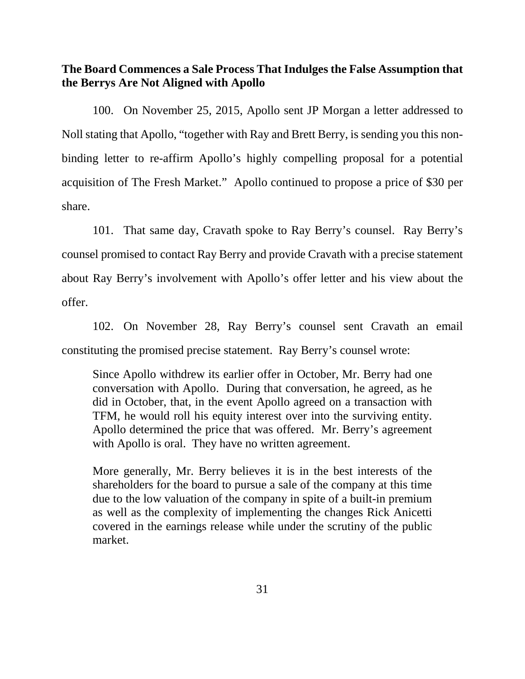**The Board Commences a Sale Process That Indulges the False Assumption that the Berrys Are Not Aligned with Apollo**

100. On November 25, 2015, Apollo sent JP Morgan a letter addressed to Noll stating that Apollo, "together with Ray and Brett Berry, is sending you this nonbinding letter to re-affirm Apollo's highly compelling proposal for a potential acquisition of The Fresh Market." Apollo continued to propose a price of \$30 per share.

101. That same day, Cravath spoke to Ray Berry's counsel. Ray Berry's counsel promised to contact Ray Berry and provide Cravath with a precise statement about Ray Berry's involvement with Apollo's offer letter and his view about the offer.

102. On November 28, Ray Berry's counsel sent Cravath an email constituting the promised precise statement. Ray Berry's counsel wrote:

Since Apollo withdrew its earlier offer in October, Mr. Berry had one conversation with Apollo. During that conversation, he agreed, as he did in October, that, in the event Apollo agreed on a transaction with TFM, he would roll his equity interest over into the surviving entity. Apollo determined the price that was offered. Mr. Berry's agreement with Apollo is oral. They have no written agreement.

More generally, Mr. Berry believes it is in the best interests of the shareholders for the board to pursue a sale of the company at this time due to the low valuation of the company in spite of a built-in premium as well as the complexity of implementing the changes Rick Anicetti covered in the earnings release while under the scrutiny of the public market.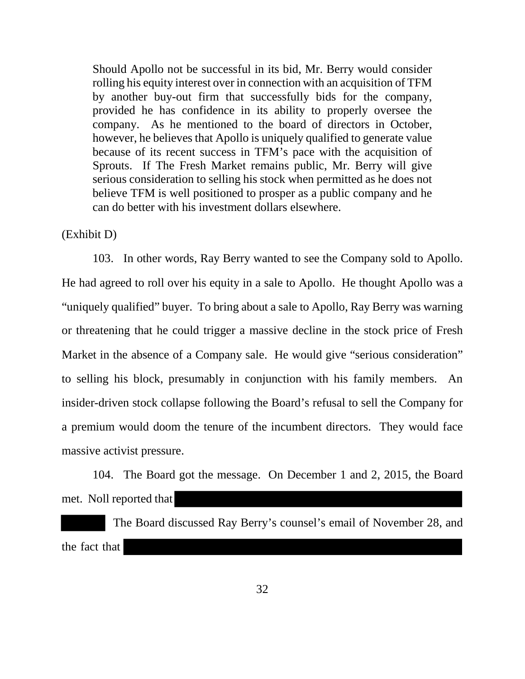Should Apollo not be successful in its bid, Mr. Berry would consider rolling his equity interest over in connection with an acquisition of TFM by another buy-out firm that successfully bids for the company, provided he has confidence in its ability to properly oversee the company. As he mentioned to the board of directors in October, however, he believes that Apollo is uniquely qualified to generate value because of its recent success in TFM's pace with the acquisition of Sprouts. If The Fresh Market remains public, Mr. Berry will give serious consideration to selling his stock when permitted as he does not believe TFM is well positioned to prosper as a public company and he can do better with his investment dollars elsewhere.

# (Exhibit D)

103. In other words, Ray Berry wanted to see the Company sold to Apollo. He had agreed to roll over his equity in a sale to Apollo. He thought Apollo was a "uniquely qualified" buyer. To bring about a sale to Apollo, Ray Berry was warning or threatening that he could trigger a massive decline in the stock price of Fresh Market in the absence of a Company sale. He would give "serious consideration" to selling his block, presumably in conjunction with his family members. An insider-driven stock collapse following the Board's refusal to sell the Company for a premium would doom the tenure of the incumbent directors. They would face massive activist pressure.

104. The Board got the message. On December 1 and 2, 2015, the Board met. Noll reported that

 The Board discussed Ray Berry's counsel's email of November 28, and the fact that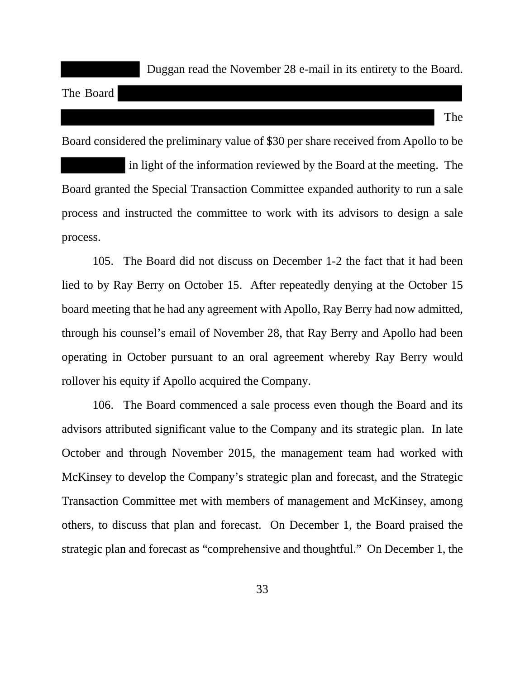Duggan read the November 28 e-mail in its entirety to the Board.

The Board

The

Board considered the preliminary value of \$30 per share received from Apollo to be in light of the information reviewed by the Board at the meeting. The Board granted the Special Transaction Committee expanded authority to run a sale process and instructed the committee to work with its advisors to design a sale process.

105. The Board did not discuss on December 1-2 the fact that it had been lied to by Ray Berry on October 15. After repeatedly denying at the October 15 board meeting that he had any agreement with Apollo, Ray Berry had now admitted, through his counsel's email of November 28, that Ray Berry and Apollo had been operating in October pursuant to an oral agreement whereby Ray Berry would rollover his equity if Apollo acquired the Company.

106. The Board commenced a sale process even though the Board and its advisors attributed significant value to the Company and its strategic plan. In late October and through November 2015, the management team had worked with McKinsey to develop the Company's strategic plan and forecast, and the Strategic Transaction Committee met with members of management and McKinsey, among others, to discuss that plan and forecast. On December 1, the Board praised the strategic plan and forecast as "comprehensive and thoughtful." On December 1, the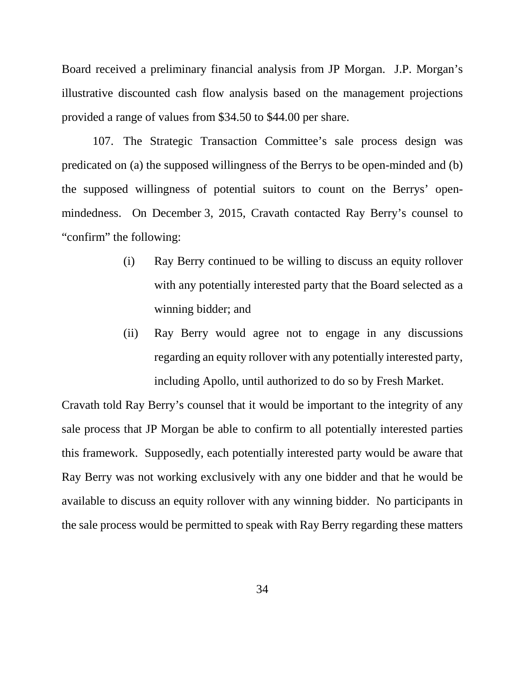Board received a preliminary financial analysis from JP Morgan. J.P. Morgan's illustrative discounted cash flow analysis based on the management projections provided a range of values from \$34.50 to \$44.00 per share.

107. The Strategic Transaction Committee's sale process design was predicated on (a) the supposed willingness of the Berrys to be open-minded and (b) the supposed willingness of potential suitors to count on the Berrys' openmindedness. On December 3, 2015, Cravath contacted Ray Berry's counsel to "confirm" the following:

- (i) Ray Berry continued to be willing to discuss an equity rollover with any potentially interested party that the Board selected as a winning bidder; and
- (ii) Ray Berry would agree not to engage in any discussions regarding an equity rollover with any potentially interested party, including Apollo, until authorized to do so by Fresh Market.

Cravath told Ray Berry's counsel that it would be important to the integrity of any sale process that JP Morgan be able to confirm to all potentially interested parties this framework. Supposedly, each potentially interested party would be aware that Ray Berry was not working exclusively with any one bidder and that he would be available to discuss an equity rollover with any winning bidder. No participants in the sale process would be permitted to speak with Ray Berry regarding these matters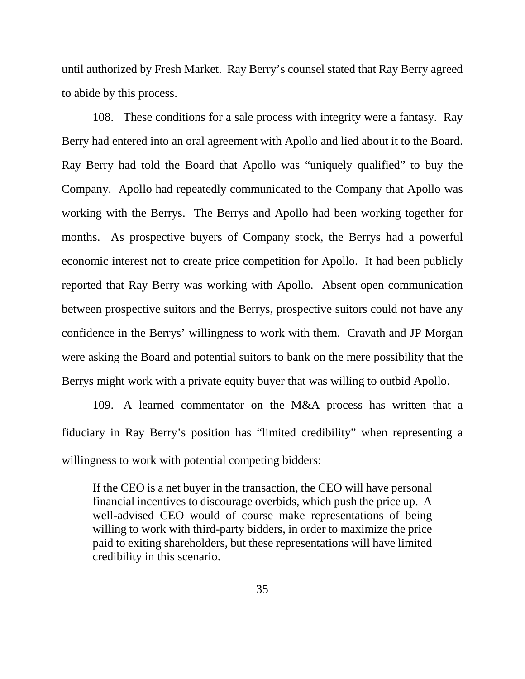until authorized by Fresh Market. Ray Berry's counsel stated that Ray Berry agreed to abide by this process.

108. These conditions for a sale process with integrity were a fantasy. Ray Berry had entered into an oral agreement with Apollo and lied about it to the Board. Ray Berry had told the Board that Apollo was "uniquely qualified" to buy the Company. Apollo had repeatedly communicated to the Company that Apollo was working with the Berrys. The Berrys and Apollo had been working together for months. As prospective buyers of Company stock, the Berrys had a powerful economic interest not to create price competition for Apollo. It had been publicly reported that Ray Berry was working with Apollo. Absent open communication between prospective suitors and the Berrys, prospective suitors could not have any confidence in the Berrys' willingness to work with them. Cravath and JP Morgan were asking the Board and potential suitors to bank on the mere possibility that the Berrys might work with a private equity buyer that was willing to outbid Apollo.

109. A learned commentator on the M&A process has written that a fiduciary in Ray Berry's position has "limited credibility" when representing a willingness to work with potential competing bidders:

If the CEO is a net buyer in the transaction, the CEO will have personal financial incentives to discourage overbids, which push the price up. A well-advised CEO would of course make representations of being willing to work with third-party bidders, in order to maximize the price paid to exiting shareholders, but these representations will have limited credibility in this scenario.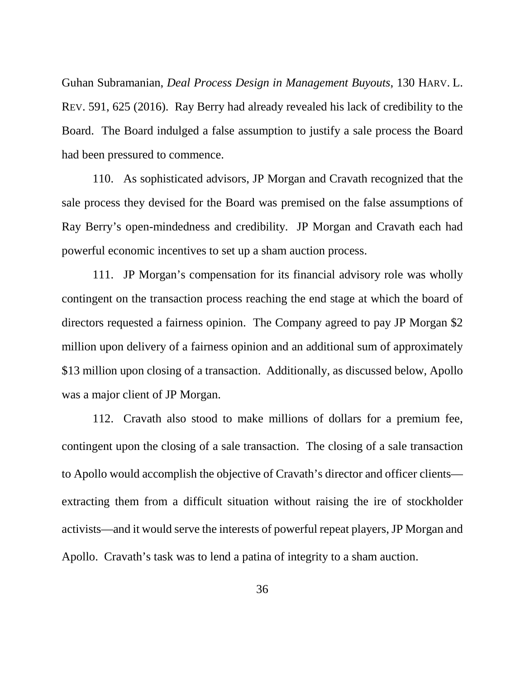Guhan Subramanian, *Deal Process Design in Management Buyouts*, 130 HARV. L. REV. 591, 625 (2016). Ray Berry had already revealed his lack of credibility to the Board. The Board indulged a false assumption to justify a sale process the Board had been pressured to commence.

110. As sophisticated advisors, JP Morgan and Cravath recognized that the sale process they devised for the Board was premised on the false assumptions of Ray Berry's open-mindedness and credibility. JP Morgan and Cravath each had powerful economic incentives to set up a sham auction process.

111. JP Morgan's compensation for its financial advisory role was wholly contingent on the transaction process reaching the end stage at which the board of directors requested a fairness opinion. The Company agreed to pay JP Morgan \$2 million upon delivery of a fairness opinion and an additional sum of approximately \$13 million upon closing of a transaction. Additionally, as discussed below, Apollo was a major client of JP Morgan.

112. Cravath also stood to make millions of dollars for a premium fee, contingent upon the closing of a sale transaction. The closing of a sale transaction to Apollo would accomplish the objective of Cravath's director and officer clients extracting them from a difficult situation without raising the ire of stockholder activists—and it would serve the interests of powerful repeat players, JP Morgan and Apollo. Cravath's task was to lend a patina of integrity to a sham auction.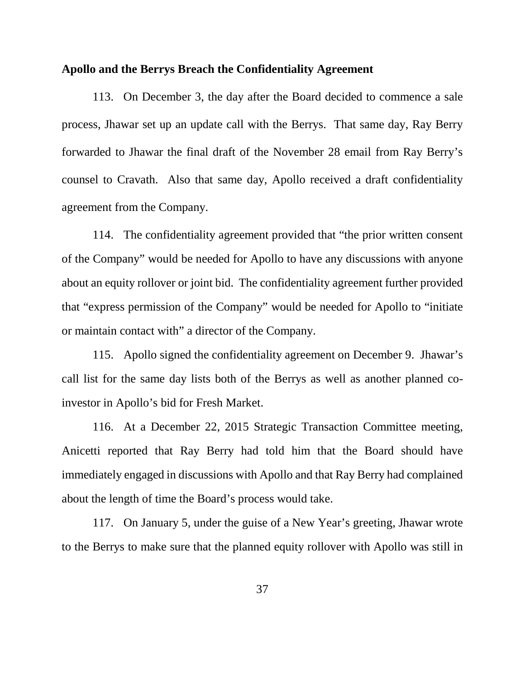#### **Apollo and the Berrys Breach the Confidentiality Agreement**

113. On December 3, the day after the Board decided to commence a sale process, Jhawar set up an update call with the Berrys. That same day, Ray Berry forwarded to Jhawar the final draft of the November 28 email from Ray Berry's counsel to Cravath. Also that same day, Apollo received a draft confidentiality agreement from the Company.

114. The confidentiality agreement provided that "the prior written consent of the Company" would be needed for Apollo to have any discussions with anyone about an equity rollover or joint bid. The confidentiality agreement further provided that "express permission of the Company" would be needed for Apollo to "initiate or maintain contact with" a director of the Company.

115. Apollo signed the confidentiality agreement on December 9. Jhawar's call list for the same day lists both of the Berrys as well as another planned coinvestor in Apollo's bid for Fresh Market.

116. At a December 22, 2015 Strategic Transaction Committee meeting, Anicetti reported that Ray Berry had told him that the Board should have immediately engaged in discussions with Apollo and that Ray Berry had complained about the length of time the Board's process would take.

117. On January 5, under the guise of a New Year's greeting, Jhawar wrote to the Berrys to make sure that the planned equity rollover with Apollo was still in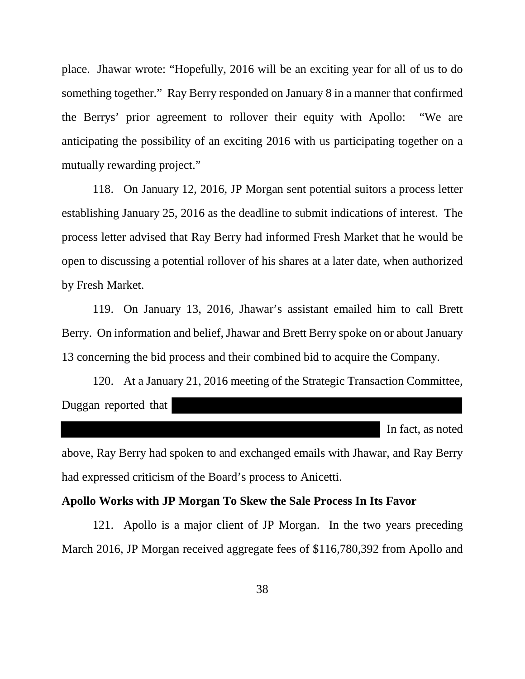place. Jhawar wrote: "Hopefully, 2016 will be an exciting year for all of us to do something together." Ray Berry responded on January 8 in a manner that confirmed the Berrys' prior agreement to rollover their equity with Apollo: "We are anticipating the possibility of an exciting 2016 with us participating together on a mutually rewarding project."

118. On January 12, 2016, JP Morgan sent potential suitors a process letter establishing January 25, 2016 as the deadline to submit indications of interest. The process letter advised that Ray Berry had informed Fresh Market that he would be open to discussing a potential rollover of his shares at a later date, when authorized by Fresh Market.

119. On January 13, 2016, Jhawar's assistant emailed him to call Brett Berry. On information and belief, Jhawar and Brett Berry spoke on or about January 13 concerning the bid process and their combined bid to acquire the Company.

120. At a January 21, 2016 meeting of the Strategic Transaction Committee, Duggan reported that

In fact, as noted

above, Ray Berry had spoken to and exchanged emails with Jhawar, and Ray Berry had expressed criticism of the Board's process to Anicetti.

### **Apollo Works with JP Morgan To Skew the Sale Process In Its Favor**

121. Apollo is a major client of JP Morgan. In the two years preceding March 2016, JP Morgan received aggregate fees of \$116,780,392 from Apollo and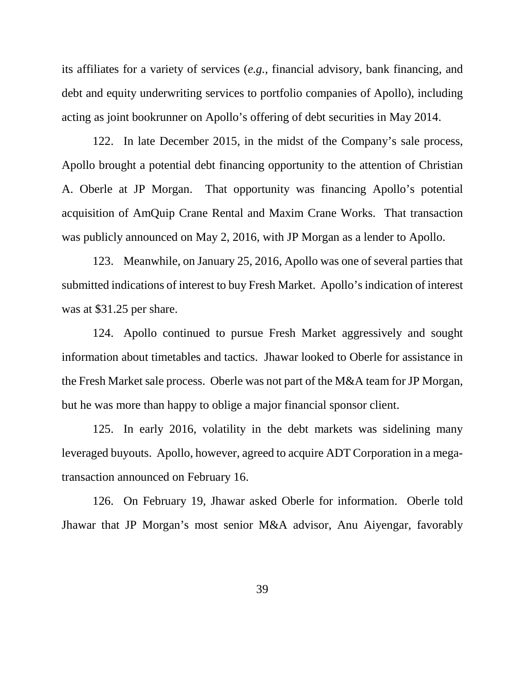its affiliates for a variety of services (*e.g.*, financial advisory, bank financing, and debt and equity underwriting services to portfolio companies of Apollo), including acting as joint bookrunner on Apollo's offering of debt securities in May 2014.

122. In late December 2015, in the midst of the Company's sale process, Apollo brought a potential debt financing opportunity to the attention of Christian A. Oberle at JP Morgan. That opportunity was financing Apollo's potential acquisition of AmQuip Crane Rental and Maxim Crane Works. That transaction was publicly announced on May 2, 2016, with JP Morgan as a lender to Apollo.

123. Meanwhile, on January 25, 2016, Apollo was one of several parties that submitted indications of interest to buy Fresh Market. Apollo's indication of interest was at \$31.25 per share.

124. Apollo continued to pursue Fresh Market aggressively and sought information about timetables and tactics. Jhawar looked to Oberle for assistance in the Fresh Market sale process. Oberle was not part of the M&A team for JP Morgan, but he was more than happy to oblige a major financial sponsor client.

125. In early 2016, volatility in the debt markets was sidelining many leveraged buyouts. Apollo, however, agreed to acquire ADT Corporation in a megatransaction announced on February 16.

126. On February 19, Jhawar asked Oberle for information. Oberle told Jhawar that JP Morgan's most senior M&A advisor, Anu Aiyengar, favorably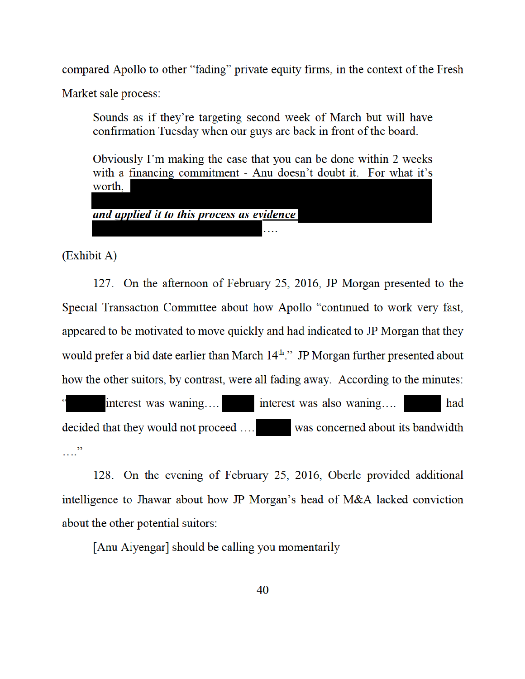compared Apollo to other "fading" private equity firms, in the context of the Fresh

Market sale process:

Sounds as if they're targeting second week of March but will have confirmation Tuesday when our guys are back in front of the board.

Obviously I'm making the case that you can be done within 2 weeks with a financing commitment - Anu doesn't doubt it. For what it's worth, and applied it to this process as evidence

(Exhibit A)

127. On the afternoon of February 25, 2016, JP Morgan presented to the Special Transaction Committee about how Apollo "continued to work very fast, appeared to be motivated to move quickly and had indicated to JP Morgan that they would prefer a bid date earlier than March 14<sup>th</sup>." JP Morgan further presented about how the other suitors, by contrast, were all fading away. According to the minutes: interest was waning.... interest was also waning.... had decided that they would not proceed .... was concerned about its bandwidth

 $\cdots$ 

128. On the evening of February 25, 2016, Oberle provided additional intelligence to Jhawar about how JP Morgan's head of M&A lacked conviction about the other potential suitors:

[Anu Aiyengar] should be calling you momentarily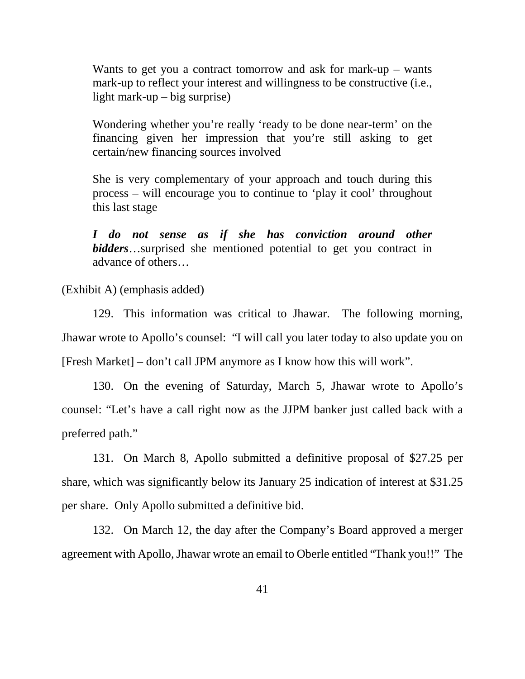Wants to get you a contract tomorrow and ask for mark-up – wants mark-up to reflect your interest and willingness to be constructive (i.e., light mark-up – big surprise)

Wondering whether you're really 'ready to be done near-term' on the financing given her impression that you're still asking to get certain/new financing sources involved

She is very complementary of your approach and touch during this process – will encourage you to continue to 'play it cool' throughout this last stage

*I do not sense as if she has conviction around other bidders*…surprised she mentioned potential to get you contract in advance of others…

(Exhibit A) (emphasis added)

129. This information was critical to Jhawar. The following morning, Jhawar wrote to Apollo's counsel: "I will call you later today to also update you on [Fresh Market] – don't call JPM anymore as I know how this will work".

130. On the evening of Saturday, March 5, Jhawar wrote to Apollo's counsel: "Let's have a call right now as the JJPM banker just called back with a preferred path."

131. On March 8, Apollo submitted a definitive proposal of \$27.25 per share, which was significantly below its January 25 indication of interest at \$31.25 per share. Only Apollo submitted a definitive bid.

132. On March 12, the day after the Company's Board approved a merger agreement with Apollo, Jhawar wrote an email to Oberle entitled "Thank you!!" The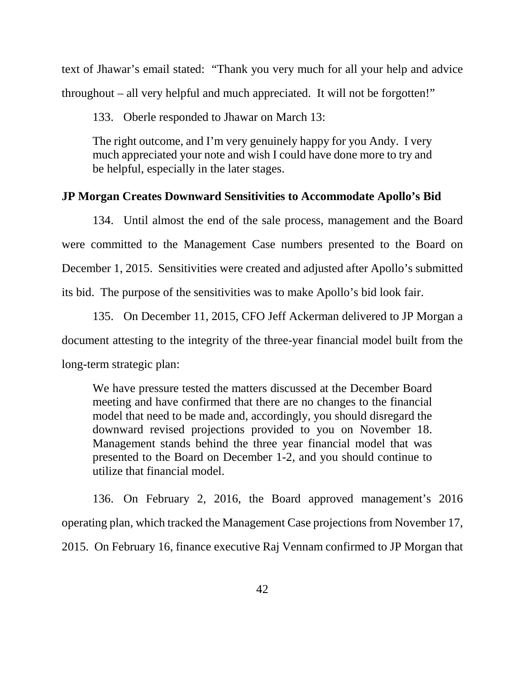text of Jhawar's email stated: "Thank you very much for all your help and advice throughout – all very helpful and much appreciated. It will not be forgotten!"

133. Oberle responded to Jhawar on March 13:

The right outcome, and I'm very genuinely happy for you Andy. I very much appreciated your note and wish I could have done more to try and be helpful, especially in the later stages.

#### **JP Morgan Creates Downward Sensitivities to Accommodate Apollo's Bid**

134. Until almost the end of the sale process, management and the Board were committed to the Management Case numbers presented to the Board on December 1, 2015. Sensitivities were created and adjusted after Apollo's submitted its bid. The purpose of the sensitivities was to make Apollo's bid look fair.

135. On December 11, 2015, CFO Jeff Ackerman delivered to JP Morgan a document attesting to the integrity of the three-year financial model built from the long-term strategic plan:

We have pressure tested the matters discussed at the December Board meeting and have confirmed that there are no changes to the financial model that need to be made and, accordingly, you should disregard the downward revised projections provided to you on November 18. Management stands behind the three year financial model that was presented to the Board on December 1-2, and you should continue to utilize that financial model.

136. On February 2, 2016, the Board approved management's 2016 operating plan, which tracked the Management Case projections from November 17, 2015. On February 16, finance executive Raj Vennam confirmed to JP Morgan that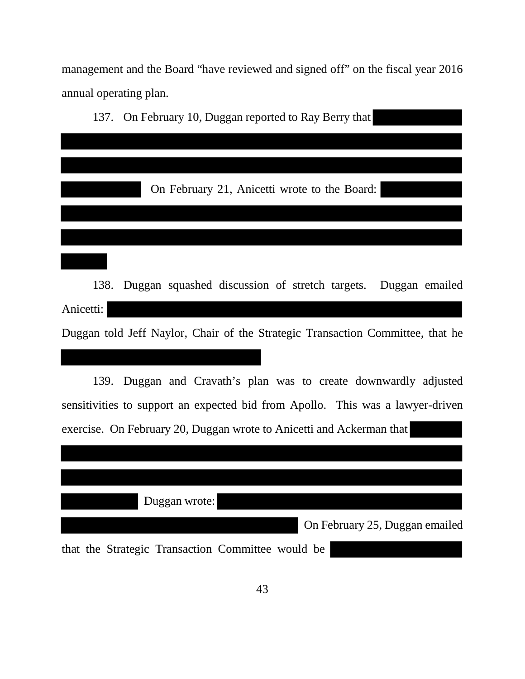management and the Board "have reviewed and signed off" on the fiscal year 2016 annual operating plan.

137. On February 10, Duggan reported to Ray Berry that On February 21, Anicetti wrote to the Board: 138. Duggan squashed discussion of stretch targets. Duggan emailed Anicetti: Duggan told Jeff Naylor, Chair of the Strategic Transaction Committee, that he 139. Duggan and Cravath's plan was to create downwardly adjusted

sensitivities to support an expected bid from Apollo. This was a lawyer-driven exercise. On February 20, Duggan wrote to Anicetti and Ackerman that

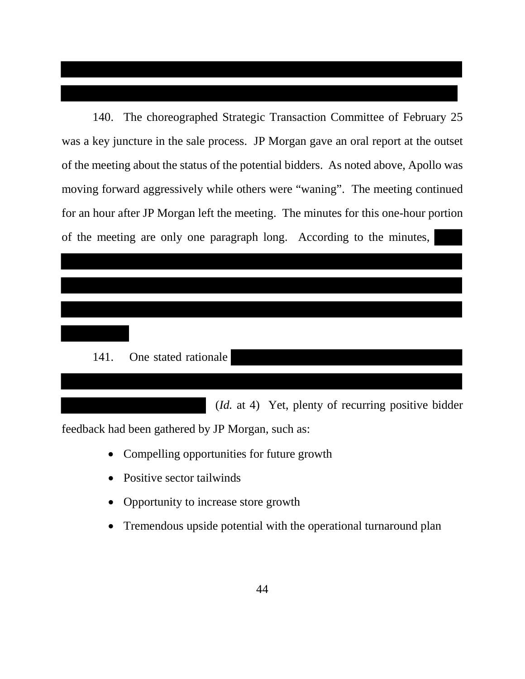140. The choreographed Strategic Transaction Committee of February 25 was a key juncture in the sale process. JP Morgan gave an oral report at the outset of the meeting about the status of the potential bidders. As noted above, Apollo was moving forward aggressively while others were "waning". The meeting continued for an hour after JP Morgan left the meeting. The minutes for this one-hour portion of the meeting are only one paragraph long. According to the minutes,

# 141. One stated rationale

(*Id.* at 4) Yet, plenty of recurring positive bidder

feedback had been gathered by JP Morgan, such as:

- Compelling opportunities for future growth
- Positive sector tailwinds
- Opportunity to increase store growth
- Tremendous upside potential with the operational turnaround plan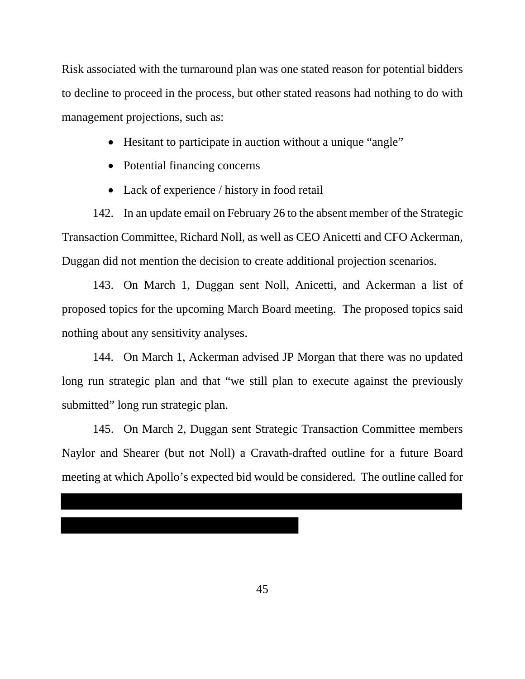Risk associated with the turnaround plan was one stated reason for potential bidders to decline to proceed in the process, but other stated reasons had nothing to do with management projections, such as:

- Hesitant to participate in auction without a unique "angle"
- Potential financing concerns
- Lack of experience / history in food retail

142. In an update email on February 26 to the absent member of the Strategic Transaction Committee, Richard Noll, as well as CEO Anicetti and CFO Ackerman, Duggan did not mention the decision to create additional projection scenarios.

143. On March 1, Duggan sent Noll, Anicetti, and Ackerman a list of proposed topics for the upcoming March Board meeting. The proposed topics said nothing about any sensitivity analyses.

144. On March 1, Ackerman advised JP Morgan that there was no updated long run strategic plan and that "we still plan to execute against the previously submitted" long run strategic plan.

145. On March 2, Duggan sent Strategic Transaction Committee members Naylor and Shearer (but not Noll) a Cravath-drafted outline for a future Board meeting at which Apollo's expected bid would be considered. The outline called for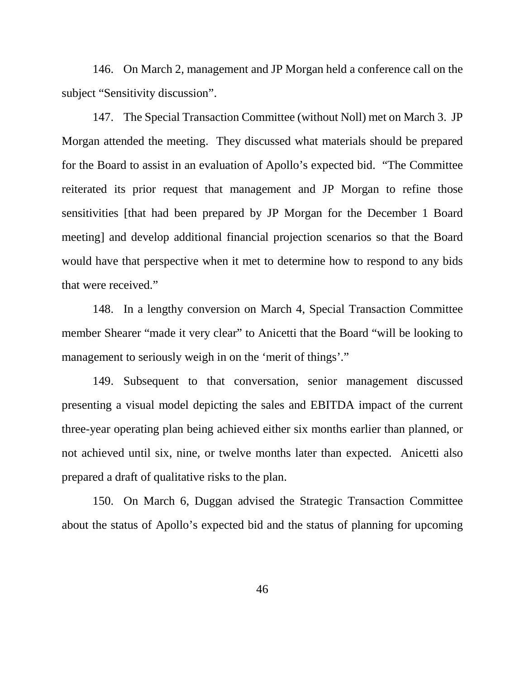146. On March 2, management and JP Morgan held a conference call on the subject "Sensitivity discussion".

147. The Special Transaction Committee (without Noll) met on March 3. JP Morgan attended the meeting. They discussed what materials should be prepared for the Board to assist in an evaluation of Apollo's expected bid. "The Committee reiterated its prior request that management and JP Morgan to refine those sensitivities [that had been prepared by JP Morgan for the December 1 Board meeting] and develop additional financial projection scenarios so that the Board would have that perspective when it met to determine how to respond to any bids that were received."

148. In a lengthy conversion on March 4, Special Transaction Committee member Shearer "made it very clear" to Anicetti that the Board "will be looking to management to seriously weigh in on the 'merit of things'."

149. Subsequent to that conversation, senior management discussed presenting a visual model depicting the sales and EBITDA impact of the current three-year operating plan being achieved either six months earlier than planned, or not achieved until six, nine, or twelve months later than expected. Anicetti also prepared a draft of qualitative risks to the plan.

150. On March 6, Duggan advised the Strategic Transaction Committee about the status of Apollo's expected bid and the status of planning for upcoming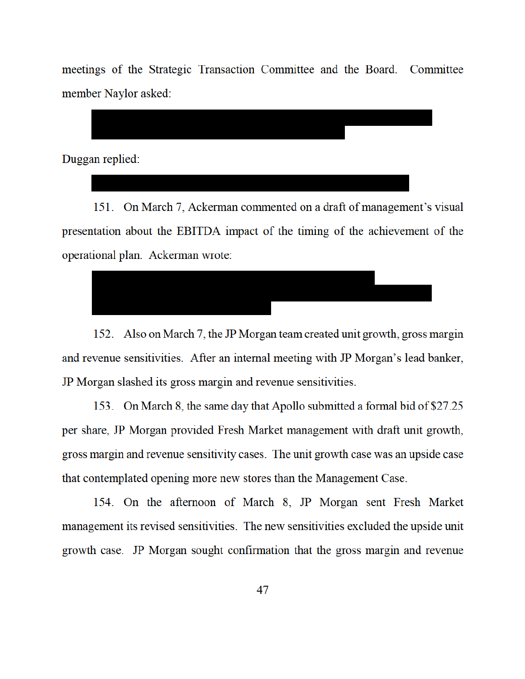meetings of the Strategic Transaction Committee and the Board. Committee member Naylor asked:



151. On March 7, Ackerman commented on a draft of management's visual presentation about the EBITDA impact of the timing of the achievement of the operational plan. Ackerman wrote:



152. Also on March 7, the JP Morgan team created unit growth, gross margin and revenue sensitivities. After an internal meeting with JP Morgan's lead banker, JP Morgan slashed its gross margin and revenue sensitivities.

153. On March 8, the same day that Apollo submitted a formal bid of \$27.25 per share, JP Morgan provided Fresh Market management with draft unit growth, gross margin and revenue sensitivity cases. The unit growth case was an upside case that contemplated opening more new stores than the Management Case.

154. On the afternoon of March 8, JP Morgan sent Fresh Market management its revised sensitivities. The new sensitivities excluded the upside unit growth case. JP Morgan sought confirmation that the gross margin and revenue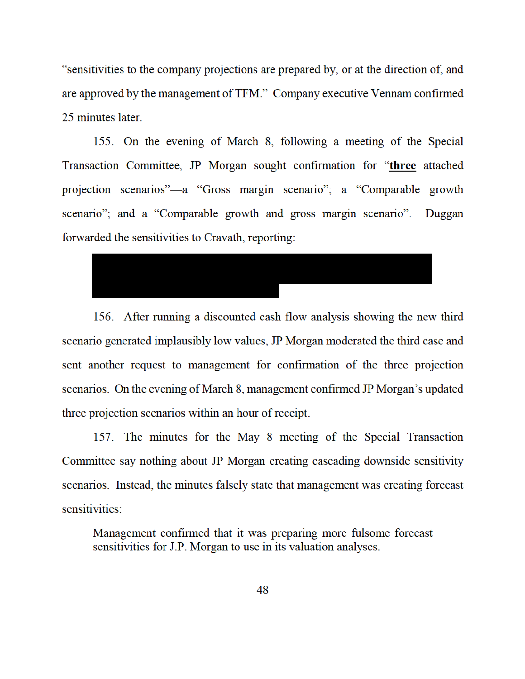"sensitivities to the company projections are prepared by, or at the direction of, and are approved by the management of TFM." Company executive Vennam confirmed 25 minutes later.

155. On the evening of March 8, following a meeting of the Special Transaction Committee, JP Morgan sought confirmation for "three attached projection scenarios"—a "Gross margin scenario"; a "Comparable growth scenario"; and a "Comparable growth and gross margin scenario". Duggan forwarded the sensitivities to Cravath, reporting:



156. After running a discounted cash flow analysis showing the new third scenario generated implausibly low values, JP Morgan moderated the third case and sent another request to management for confirmation of the three projection scenarios. On the evening of March 8, management confirmed JP Morgan's updated three projection scenarios within an hour of receipt.

157. The minutes for the May 8 meeting of the Special Transaction Committee say nothing about JP Morgan creating cascading downside sensitivity scenarios. Instead, the minutes falsely state that management was creating forecast sensitivities:

Management confirmed that it was preparing more fulsome forecast sensitivities for J.P. Morgan to use in its valuation analyses.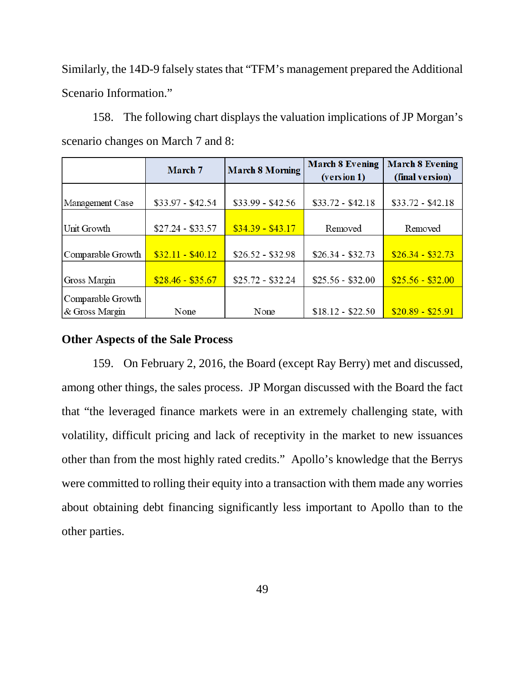Similarly, the 14D-9 falsely states that "TFM's management prepared the Additional Scenario Information."

158. The following chart displays the valuation implications of JP Morgan's scenario changes on March 7 and 8:

|                   | March 7           | <b>March 8 Morning</b> | <b>March 8 Evening</b> | <b>March 8 Evening</b> |
|-------------------|-------------------|------------------------|------------------------|------------------------|
|                   |                   |                        | (version 1)            | (final version)        |
|                   |                   |                        |                        |                        |
| Management Case   | $$33.97 - $42.54$ | $$33.99 - $42.56$      | $$33.72 - $42.18$      | $$33.72 - $42.18$      |
|                   |                   |                        |                        |                        |
| Unit Growth       | $$27.24 - $33.57$ | $$34.39 - $43.17$      | Removed                | Removed                |
|                   |                   |                        |                        |                        |
| Comparable Growth | $$32.11 - $40.12$ | $$26.52 - $32.98$      | $$26.34 - $32.73$      | $$26.34 - $32.73$      |
|                   |                   |                        |                        |                        |
| Gross Margin      | $$28.46 - $35.67$ | $$25.72 - $32.24$      | $$25.56 - $32.00$      | $$25.56 - $32.00$      |
| Comparable Growth |                   |                        |                        |                        |
| & Gross Margin    | None              | None                   | $$18.12 - $22.50$      | $$20.89 - $25.91$      |

## **Other Aspects of the Sale Process**

159. On February 2, 2016, the Board (except Ray Berry) met and discussed, among other things, the sales process. JP Morgan discussed with the Board the fact that "the leveraged finance markets were in an extremely challenging state, with volatility, difficult pricing and lack of receptivity in the market to new issuances other than from the most highly rated credits." Apollo's knowledge that the Berrys were committed to rolling their equity into a transaction with them made any worries about obtaining debt financing significantly less important to Apollo than to the other parties.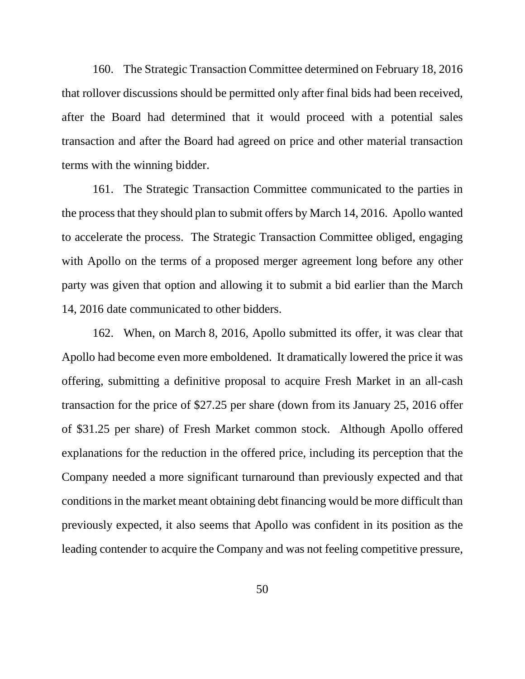160. The Strategic Transaction Committee determined on February 18, 2016 that rollover discussions should be permitted only after final bids had been received, after the Board had determined that it would proceed with a potential sales transaction and after the Board had agreed on price and other material transaction terms with the winning bidder.

161. The Strategic Transaction Committee communicated to the parties in the process that they should plan to submit offers by March 14, 2016. Apollo wanted to accelerate the process. The Strategic Transaction Committee obliged, engaging with Apollo on the terms of a proposed merger agreement long before any other party was given that option and allowing it to submit a bid earlier than the March 14, 2016 date communicated to other bidders.

162. When, on March 8, 2016, Apollo submitted its offer, it was clear that Apollo had become even more emboldened. It dramatically lowered the price it was offering, submitting a definitive proposal to acquire Fresh Market in an all-cash transaction for the price of \$27.25 per share (down from its January 25, 2016 offer of \$31.25 per share) of Fresh Market common stock. Although Apollo offered explanations for the reduction in the offered price, including its perception that the Company needed a more significant turnaround than previously expected and that conditions in the market meant obtaining debt financing would be more difficult than previously expected, it also seems that Apollo was confident in its position as the leading contender to acquire the Company and was not feeling competitive pressure,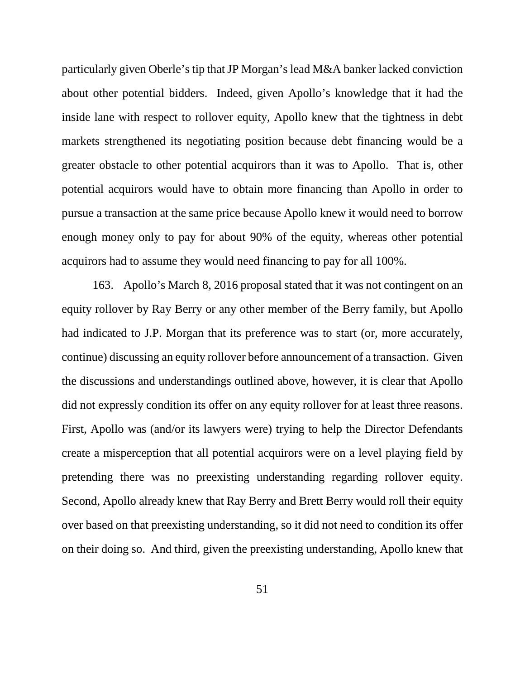particularly given Oberle's tip that JP Morgan's lead M&A banker lacked conviction about other potential bidders. Indeed, given Apollo's knowledge that it had the inside lane with respect to rollover equity, Apollo knew that the tightness in debt markets strengthened its negotiating position because debt financing would be a greater obstacle to other potential acquirors than it was to Apollo. That is, other potential acquirors would have to obtain more financing than Apollo in order to pursue a transaction at the same price because Apollo knew it would need to borrow enough money only to pay for about 90% of the equity, whereas other potential acquirors had to assume they would need financing to pay for all 100%.

163. Apollo's March 8, 2016 proposal stated that it was not contingent on an equity rollover by Ray Berry or any other member of the Berry family, but Apollo had indicated to J.P. Morgan that its preference was to start (or, more accurately, continue) discussing an equity rollover before announcement of a transaction. Given the discussions and understandings outlined above, however, it is clear that Apollo did not expressly condition its offer on any equity rollover for at least three reasons. First, Apollo was (and/or its lawyers were) trying to help the Director Defendants create a misperception that all potential acquirors were on a level playing field by pretending there was no preexisting understanding regarding rollover equity. Second, Apollo already knew that Ray Berry and Brett Berry would roll their equity over based on that preexisting understanding, so it did not need to condition its offer on their doing so. And third, given the preexisting understanding, Apollo knew that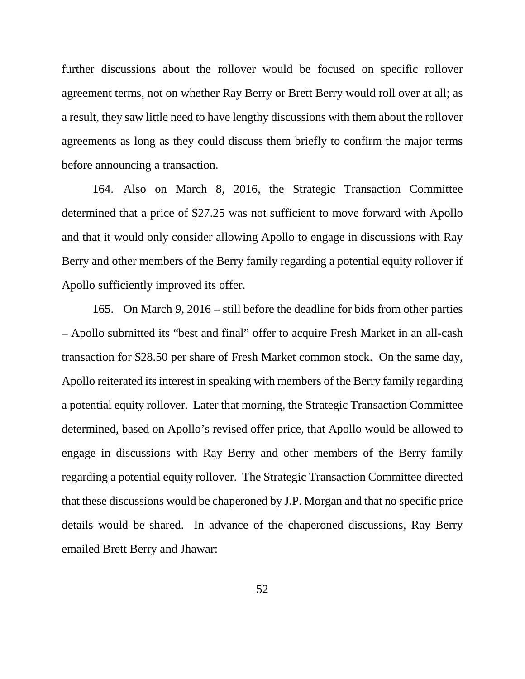further discussions about the rollover would be focused on specific rollover agreement terms, not on whether Ray Berry or Brett Berry would roll over at all; as a result, they saw little need to have lengthy discussions with them about the rollover agreements as long as they could discuss them briefly to confirm the major terms before announcing a transaction.

164. Also on March 8, 2016, the Strategic Transaction Committee determined that a price of \$27.25 was not sufficient to move forward with Apollo and that it would only consider allowing Apollo to engage in discussions with Ray Berry and other members of the Berry family regarding a potential equity rollover if Apollo sufficiently improved its offer.

165. On March 9, 2016 – still before the deadline for bids from other parties – Apollo submitted its "best and final" offer to acquire Fresh Market in an all-cash transaction for \$28.50 per share of Fresh Market common stock. On the same day, Apollo reiterated its interest in speaking with members of the Berry family regarding a potential equity rollover. Later that morning, the Strategic Transaction Committee determined, based on Apollo's revised offer price, that Apollo would be allowed to engage in discussions with Ray Berry and other members of the Berry family regarding a potential equity rollover. The Strategic Transaction Committee directed that these discussions would be chaperoned by J.P. Morgan and that no specific price details would be shared. In advance of the chaperoned discussions, Ray Berry emailed Brett Berry and Jhawar: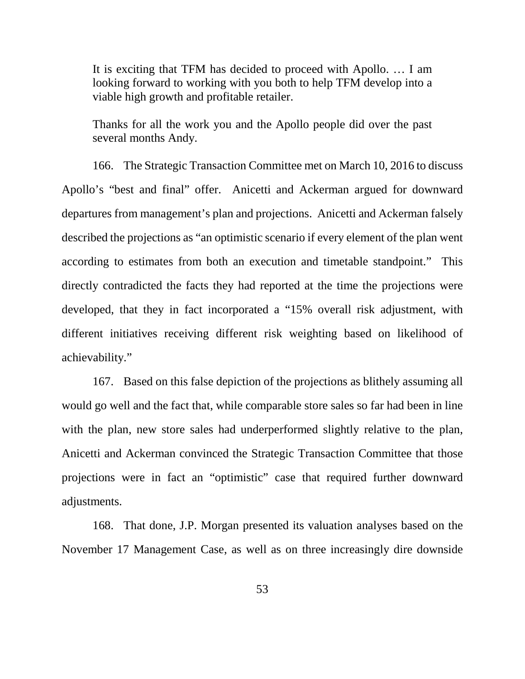It is exciting that TFM has decided to proceed with Apollo. … I am looking forward to working with you both to help TFM develop into a viable high growth and profitable retailer.

Thanks for all the work you and the Apollo people did over the past several months Andy.

166. The Strategic Transaction Committee met on March 10, 2016 to discuss Apollo's "best and final" offer. Anicetti and Ackerman argued for downward departures from management's plan and projections. Anicetti and Ackerman falsely described the projections as "an optimistic scenario if every element of the plan went according to estimates from both an execution and timetable standpoint." This directly contradicted the facts they had reported at the time the projections were developed, that they in fact incorporated a "15% overall risk adjustment, with different initiatives receiving different risk weighting based on likelihood of achievability."

167. Based on this false depiction of the projections as blithely assuming all would go well and the fact that, while comparable store sales so far had been in line with the plan, new store sales had underperformed slightly relative to the plan, Anicetti and Ackerman convinced the Strategic Transaction Committee that those projections were in fact an "optimistic" case that required further downward adjustments.

168. That done, J.P. Morgan presented its valuation analyses based on the November 17 Management Case, as well as on three increasingly dire downside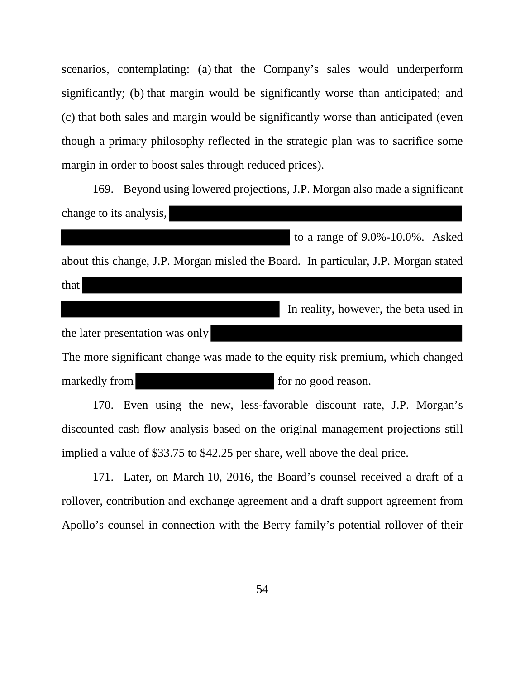scenarios, contemplating: (a) that the Company's sales would underperform significantly; (b) that margin would be significantly worse than anticipated; and (c) that both sales and margin would be significantly worse than anticipated (even though a primary philosophy reflected in the strategic plan was to sacrifice some margin in order to boost sales through reduced prices).

169. Beyond using lowered projections, J.P. Morgan also made a significant change to its analysis,

about this change, J.P. Morgan misled the Board. In particular, J.P. Morgan stated

|--|

In reality, however, the beta used in

to a range of 9.0%-10.0%. Asked

the later presentation was only The more significant change was made to the equity risk premium, which changed markedly from for no good reason.

170. Even using the new, less-favorable discount rate, J.P. Morgan's discounted cash flow analysis based on the original management projections still implied a value of \$33.75 to \$42.25 per share, well above the deal price.

171. Later, on March 10, 2016, the Board's counsel received a draft of a rollover, contribution and exchange agreement and a draft support agreement from Apollo's counsel in connection with the Berry family's potential rollover of their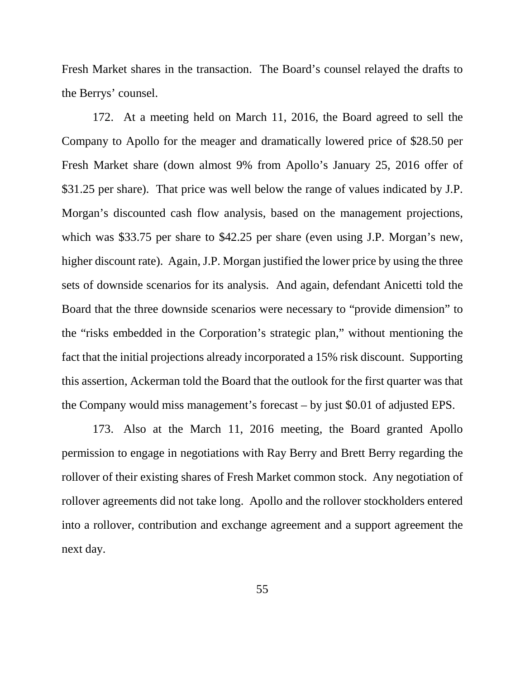Fresh Market shares in the transaction. The Board's counsel relayed the drafts to the Berrys' counsel.

172. At a meeting held on March 11, 2016, the Board agreed to sell the Company to Apollo for the meager and dramatically lowered price of \$28.50 per Fresh Market share (down almost 9% from Apollo's January 25, 2016 offer of \$31.25 per share). That price was well below the range of values indicated by J.P. Morgan's discounted cash flow analysis, based on the management projections, which was \$33.75 per share to \$42.25 per share (even using J.P. Morgan's new, higher discount rate). Again, J.P. Morgan justified the lower price by using the three sets of downside scenarios for its analysis. And again, defendant Anicetti told the Board that the three downside scenarios were necessary to "provide dimension" to the "risks embedded in the Corporation's strategic plan," without mentioning the fact that the initial projections already incorporated a 15% risk discount. Supporting this assertion, Ackerman told the Board that the outlook for the first quarter was that the Company would miss management's forecast – by just \$0.01 of adjusted EPS.

173. Also at the March 11, 2016 meeting, the Board granted Apollo permission to engage in negotiations with Ray Berry and Brett Berry regarding the rollover of their existing shares of Fresh Market common stock. Any negotiation of rollover agreements did not take long. Apollo and the rollover stockholders entered into a rollover, contribution and exchange agreement and a support agreement the next day.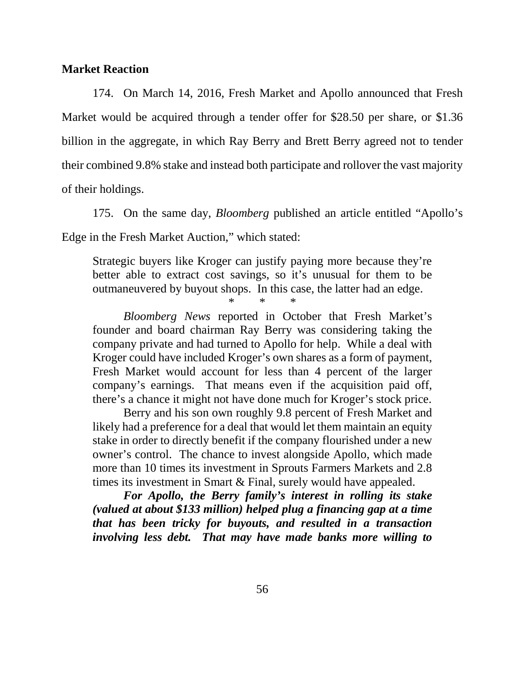## **Market Reaction**

174. On March 14, 2016, Fresh Market and Apollo announced that Fresh Market would be acquired through a tender offer for \$28.50 per share, or \$1.36 billion in the aggregate, in which Ray Berry and Brett Berry agreed not to tender their combined 9.8% stake and instead both participate and rollover the vast majority of their holdings.

175. On the same day, *Bloomberg* published an article entitled "Apollo's

Edge in the Fresh Market Auction," which stated:

Strategic buyers like Kroger can justify paying more because they're better able to extract cost savings, so it's unusual for them to be outmaneuvered by buyout shops. In this case, the latter had an edge.

\* \* \*

*Bloomberg News* reported in October that Fresh Market's founder and board chairman Ray Berry was considering taking the company private and had turned to Apollo for help. While a deal with Kroger could have included Kroger's own shares as a form of payment, Fresh Market would account for less than 4 percent of the larger company's earnings. That means even if the acquisition paid off, there's a chance it might not have done much for Kroger's stock price.

Berry and his son own roughly 9.8 percent of Fresh Market and likely had a preference for a deal that would let them maintain an equity stake in order to directly benefit if the company flourished under a new owner's control. The chance to invest alongside Apollo, which made more than 10 times its investment in Sprouts Farmers Markets and 2.8 times its investment in Smart & Final, surely would have appealed.

*For Apollo, the Berry family's interest in rolling its stake (valued at about \$133 million) helped plug a financing gap at a time that has been tricky for buyouts, and resulted in a transaction involving less debt. That may have made banks more willing to*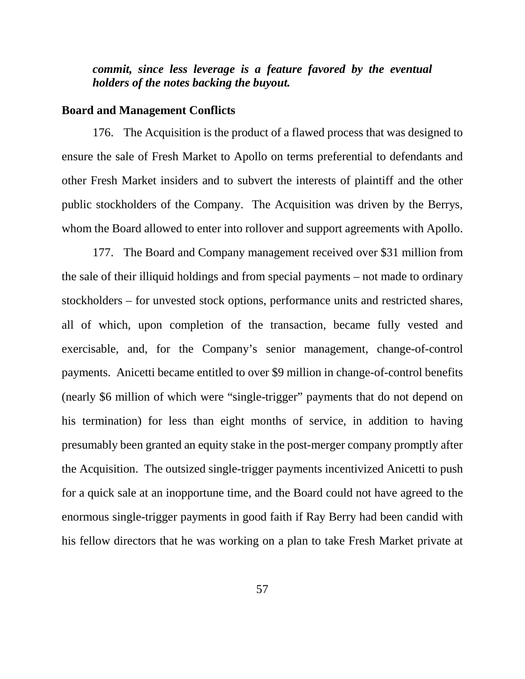# *commit, since less leverage is a feature favored by the eventual holders of the notes backing the buyout.*

### **Board and Management Conflicts**

176. The Acquisition is the product of a flawed process that was designed to ensure the sale of Fresh Market to Apollo on terms preferential to defendants and other Fresh Market insiders and to subvert the interests of plaintiff and the other public stockholders of the Company. The Acquisition was driven by the Berrys, whom the Board allowed to enter into rollover and support agreements with Apollo.

177. The Board and Company management received over \$31 million from the sale of their illiquid holdings and from special payments – not made to ordinary stockholders – for unvested stock options, performance units and restricted shares, all of which, upon completion of the transaction, became fully vested and exercisable, and, for the Company's senior management, change-of-control payments. Anicetti became entitled to over \$9 million in change-of-control benefits (nearly \$6 million of which were "single-trigger" payments that do not depend on his termination) for less than eight months of service, in addition to having presumably been granted an equity stake in the post-merger company promptly after the Acquisition. The outsized single-trigger payments incentivized Anicetti to push for a quick sale at an inopportune time, and the Board could not have agreed to the enormous single-trigger payments in good faith if Ray Berry had been candid with his fellow directors that he was working on a plan to take Fresh Market private at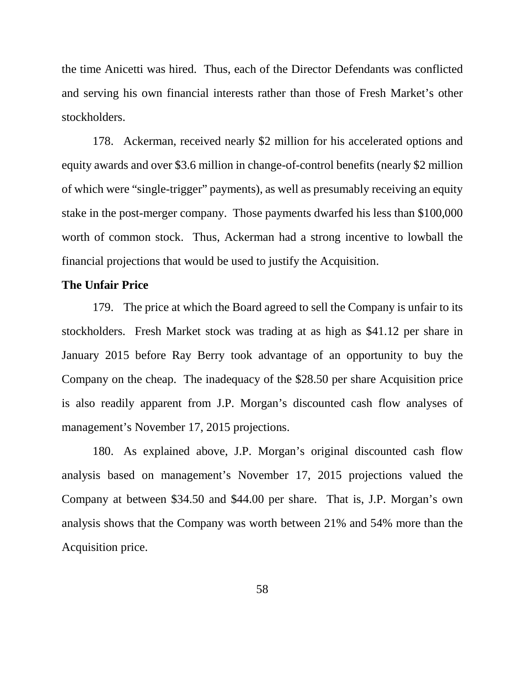the time Anicetti was hired. Thus, each of the Director Defendants was conflicted and serving his own financial interests rather than those of Fresh Market's other stockholders.

178. Ackerman, received nearly \$2 million for his accelerated options and equity awards and over \$3.6 million in change-of-control benefits (nearly \$2 million of which were "single-trigger" payments), as well as presumably receiving an equity stake in the post-merger company. Those payments dwarfed his less than \$100,000 worth of common stock. Thus, Ackerman had a strong incentive to lowball the financial projections that would be used to justify the Acquisition.

## **The Unfair Price**

179. The price at which the Board agreed to sell the Company is unfair to its stockholders. Fresh Market stock was trading at as high as \$41.12 per share in January 2015 before Ray Berry took advantage of an opportunity to buy the Company on the cheap. The inadequacy of the \$28.50 per share Acquisition price is also readily apparent from J.P. Morgan's discounted cash flow analyses of management's November 17, 2015 projections.

180. As explained above, J.P. Morgan's original discounted cash flow analysis based on management's November 17, 2015 projections valued the Company at between \$34.50 and \$44.00 per share. That is, J.P. Morgan's own analysis shows that the Company was worth between 21% and 54% more than the Acquisition price.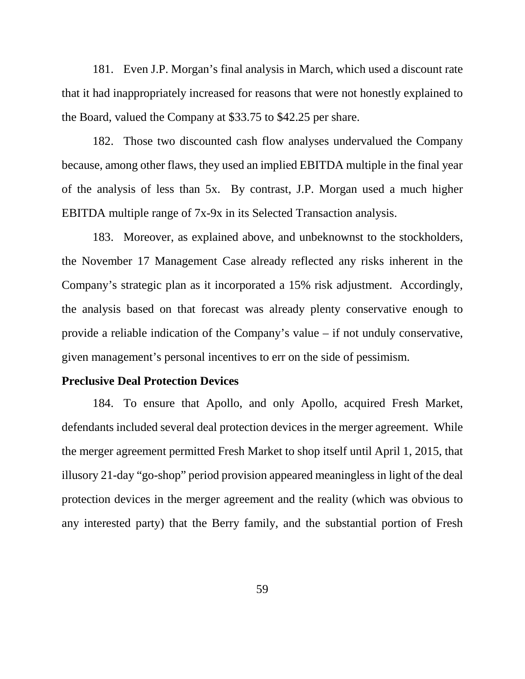181. Even J.P. Morgan's final analysis in March, which used a discount rate that it had inappropriately increased for reasons that were not honestly explained to the Board, valued the Company at \$33.75 to \$42.25 per share.

182. Those two discounted cash flow analyses undervalued the Company because, among other flaws, they used an implied EBITDA multiple in the final year of the analysis of less than 5x. By contrast, J.P. Morgan used a much higher EBITDA multiple range of 7x-9x in its Selected Transaction analysis.

183. Moreover, as explained above, and unbeknownst to the stockholders, the November 17 Management Case already reflected any risks inherent in the Company's strategic plan as it incorporated a 15% risk adjustment. Accordingly, the analysis based on that forecast was already plenty conservative enough to provide a reliable indication of the Company's value – if not unduly conservative, given management's personal incentives to err on the side of pessimism.

### **Preclusive Deal Protection Devices**

184. To ensure that Apollo, and only Apollo, acquired Fresh Market, defendants included several deal protection devices in the merger agreement. While the merger agreement permitted Fresh Market to shop itself until April 1, 2015, that illusory 21-day "go-shop" period provision appeared meaningless in light of the deal protection devices in the merger agreement and the reality (which was obvious to any interested party) that the Berry family, and the substantial portion of Fresh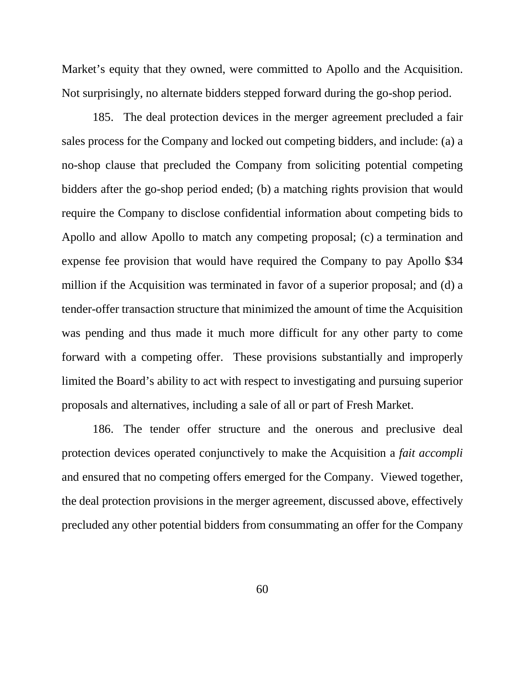Market's equity that they owned, were committed to Apollo and the Acquisition. Not surprisingly, no alternate bidders stepped forward during the go-shop period.

185. The deal protection devices in the merger agreement precluded a fair sales process for the Company and locked out competing bidders, and include: (a) a no-shop clause that precluded the Company from soliciting potential competing bidders after the go-shop period ended; (b) a matching rights provision that would require the Company to disclose confidential information about competing bids to Apollo and allow Apollo to match any competing proposal; (c) a termination and expense fee provision that would have required the Company to pay Apollo \$34 million if the Acquisition was terminated in favor of a superior proposal; and (d) a tender-offer transaction structure that minimized the amount of time the Acquisition was pending and thus made it much more difficult for any other party to come forward with a competing offer. These provisions substantially and improperly limited the Board's ability to act with respect to investigating and pursuing superior proposals and alternatives, including a sale of all or part of Fresh Market.

186. The tender offer structure and the onerous and preclusive deal protection devices operated conjunctively to make the Acquisition a *fait accompli* and ensured that no competing offers emerged for the Company. Viewed together, the deal protection provisions in the merger agreement, discussed above, effectively precluded any other potential bidders from consummating an offer for the Company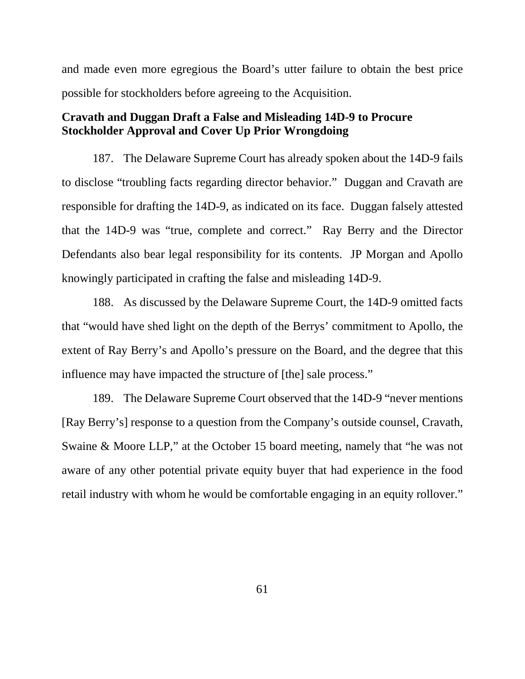and made even more egregious the Board's utter failure to obtain the best price possible for stockholders before agreeing to the Acquisition.

# **Cravath and Duggan Draft a False and Misleading 14D-9 to Procure Stockholder Approval and Cover Up Prior Wrongdoing**

187. The Delaware Supreme Court has already spoken about the 14D-9 fails to disclose "troubling facts regarding director behavior." Duggan and Cravath are responsible for drafting the 14D-9, as indicated on its face. Duggan falsely attested that the 14D-9 was "true, complete and correct." Ray Berry and the Director Defendants also bear legal responsibility for its contents. JP Morgan and Apollo knowingly participated in crafting the false and misleading 14D-9.

188. As discussed by the Delaware Supreme Court, the 14D-9 omitted facts that "would have shed light on the depth of the Berrys' commitment to Apollo, the extent of Ray Berry's and Apollo's pressure on the Board, and the degree that this influence may have impacted the structure of [the] sale process."

189. The Delaware Supreme Court observed that the 14D-9 "never mentions [Ray Berry's] response to a question from the Company's outside counsel, Cravath, Swaine & Moore LLP," at the October 15 board meeting, namely that "he was not aware of any other potential private equity buyer that had experience in the food retail industry with whom he would be comfortable engaging in an equity rollover."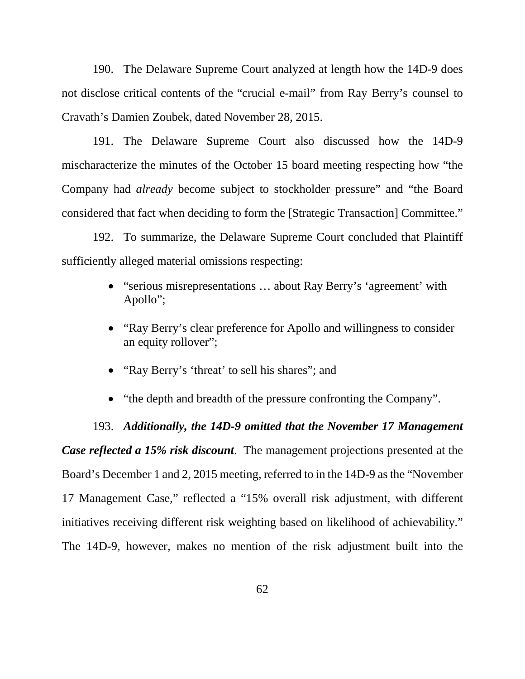190. The Delaware Supreme Court analyzed at length how the 14D-9 does not disclose critical contents of the "crucial e-mail" from Ray Berry's counsel to Cravath's Damien Zoubek, dated November 28, 2015.

191. The Delaware Supreme Court also discussed how the 14D-9 mischaracterize the minutes of the October 15 board meeting respecting how "the Company had *already* become subject to stockholder pressure" and "the Board considered that fact when deciding to form the [Strategic Transaction] Committee."

192. To summarize, the Delaware Supreme Court concluded that Plaintiff sufficiently alleged material omissions respecting:

- "serious misrepresentations ... about Ray Berry's 'agreement' with Apollo";
- "Ray Berry's clear preference for Apollo and willingness to consider an equity rollover";
- "Ray Berry's 'threat' to sell his shares"; and
- "the depth and breadth of the pressure confronting the Company".

193. *Additionally, the 14D-9 omitted that the November 17 Management Case reflected a 15% risk discount*. The management projections presented at the Board's December 1 and 2, 2015 meeting, referred to in the 14D-9 as the "November 17 Management Case," reflected a "15% overall risk adjustment, with different initiatives receiving different risk weighting based on likelihood of achievability." The 14D-9, however, makes no mention of the risk adjustment built into the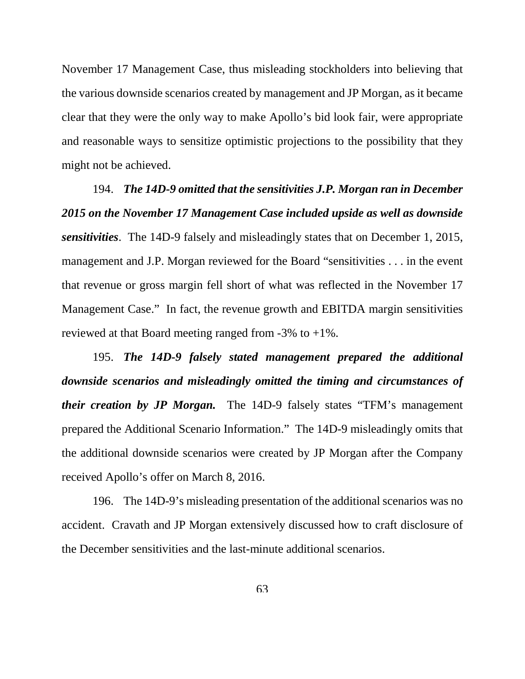November 17 Management Case, thus misleading stockholders into believing that the various downside scenarios created by management and JP Morgan, as it became clear that they were the only way to make Apollo's bid look fair, were appropriate and reasonable ways to sensitize optimistic projections to the possibility that they might not be achieved.

194. *The 14D-9 omitted that the sensitivities J.P. Morgan ran in December 2015 on the November 17 Management Case included upside as well as downside sensitivities*. The 14D-9 falsely and misleadingly states that on December 1, 2015, management and J.P. Morgan reviewed for the Board "sensitivities . . . in the event that revenue or gross margin fell short of what was reflected in the November 17 Management Case." In fact, the revenue growth and EBITDA margin sensitivities reviewed at that Board meeting ranged from  $-3\%$  to  $+1\%$ .

195. *The 14D-9 falsely stated management prepared the additional downside scenarios and misleadingly omitted the timing and circumstances of their creation by JP Morgan.* The 14D-9 falsely states "TFM's management prepared the Additional Scenario Information." The 14D-9 misleadingly omits that the additional downside scenarios were created by JP Morgan after the Company received Apollo's offer on March 8, 2016.

196. The 14D-9's misleading presentation of the additional scenarios was no accident. Cravath and JP Morgan extensively discussed how to craft disclosure of the December sensitivities and the last-minute additional scenarios.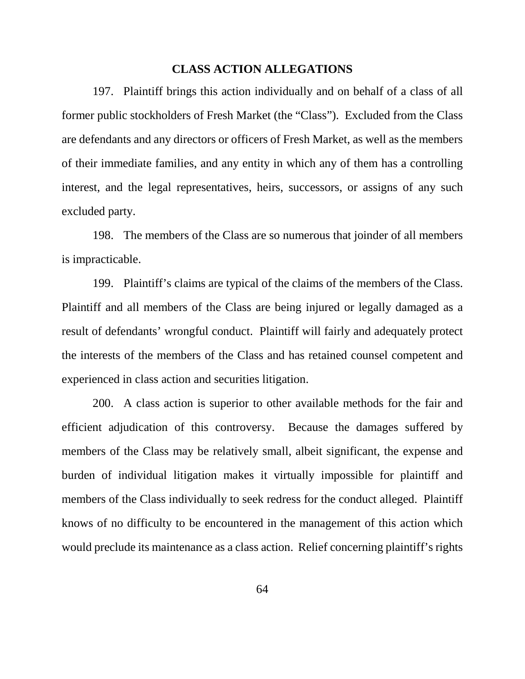### **CLASS ACTION ALLEGATIONS**

197. Plaintiff brings this action individually and on behalf of a class of all former public stockholders of Fresh Market (the "Class"). Excluded from the Class are defendants and any directors or officers of Fresh Market, as well as the members of their immediate families, and any entity in which any of them has a controlling interest, and the legal representatives, heirs, successors, or assigns of any such excluded party.

198. The members of the Class are so numerous that joinder of all members is impracticable.

199. Plaintiff's claims are typical of the claims of the members of the Class. Plaintiff and all members of the Class are being injured or legally damaged as a result of defendants' wrongful conduct. Plaintiff will fairly and adequately protect the interests of the members of the Class and has retained counsel competent and experienced in class action and securities litigation.

200. A class action is superior to other available methods for the fair and efficient adjudication of this controversy. Because the damages suffered by members of the Class may be relatively small, albeit significant, the expense and burden of individual litigation makes it virtually impossible for plaintiff and members of the Class individually to seek redress for the conduct alleged. Plaintiff knows of no difficulty to be encountered in the management of this action which would preclude its maintenance as a class action. Relief concerning plaintiff's rights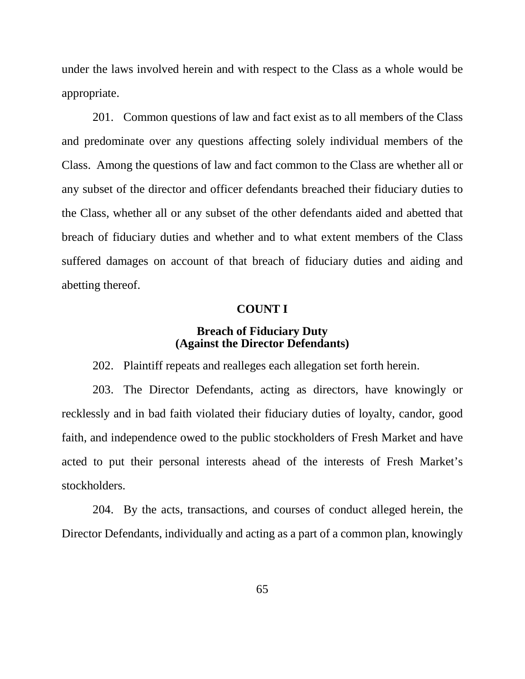under the laws involved herein and with respect to the Class as a whole would be appropriate.

201. Common questions of law and fact exist as to all members of the Class and predominate over any questions affecting solely individual members of the Class. Among the questions of law and fact common to the Class are whether all or any subset of the director and officer defendants breached their fiduciary duties to the Class, whether all or any subset of the other defendants aided and abetted that breach of fiduciary duties and whether and to what extent members of the Class suffered damages on account of that breach of fiduciary duties and aiding and abetting thereof.

## **COUNT I**

## **Breach of Fiduciary Duty (Against the Director Defendants)**

202. Plaintiff repeats and realleges each allegation set forth herein.

203. The Director Defendants, acting as directors, have knowingly or recklessly and in bad faith violated their fiduciary duties of loyalty, candor, good faith, and independence owed to the public stockholders of Fresh Market and have acted to put their personal interests ahead of the interests of Fresh Market's stockholders.

204. By the acts, transactions, and courses of conduct alleged herein, the Director Defendants, individually and acting as a part of a common plan, knowingly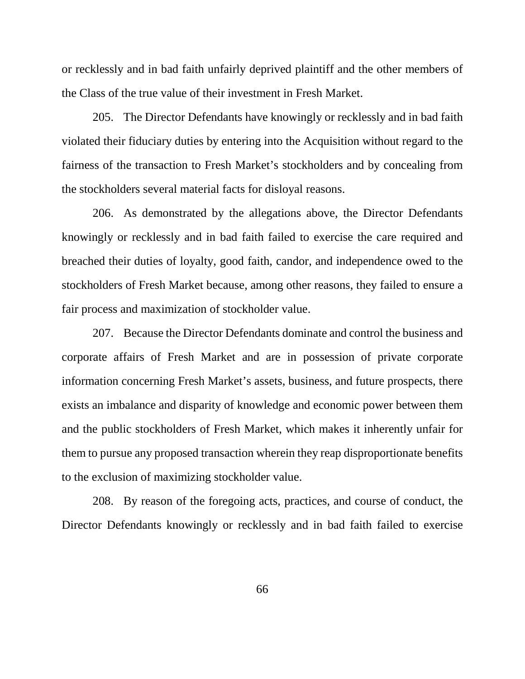or recklessly and in bad faith unfairly deprived plaintiff and the other members of the Class of the true value of their investment in Fresh Market.

205. The Director Defendants have knowingly or recklessly and in bad faith violated their fiduciary duties by entering into the Acquisition without regard to the fairness of the transaction to Fresh Market's stockholders and by concealing from the stockholders several material facts for disloyal reasons.

206. As demonstrated by the allegations above, the Director Defendants knowingly or recklessly and in bad faith failed to exercise the care required and breached their duties of loyalty, good faith, candor, and independence owed to the stockholders of Fresh Market because, among other reasons, they failed to ensure a fair process and maximization of stockholder value.

207. Because the Director Defendants dominate and control the business and corporate affairs of Fresh Market and are in possession of private corporate information concerning Fresh Market's assets, business, and future prospects, there exists an imbalance and disparity of knowledge and economic power between them and the public stockholders of Fresh Market, which makes it inherently unfair for them to pursue any proposed transaction wherein they reap disproportionate benefits to the exclusion of maximizing stockholder value.

208. By reason of the foregoing acts, practices, and course of conduct, the Director Defendants knowingly or recklessly and in bad faith failed to exercise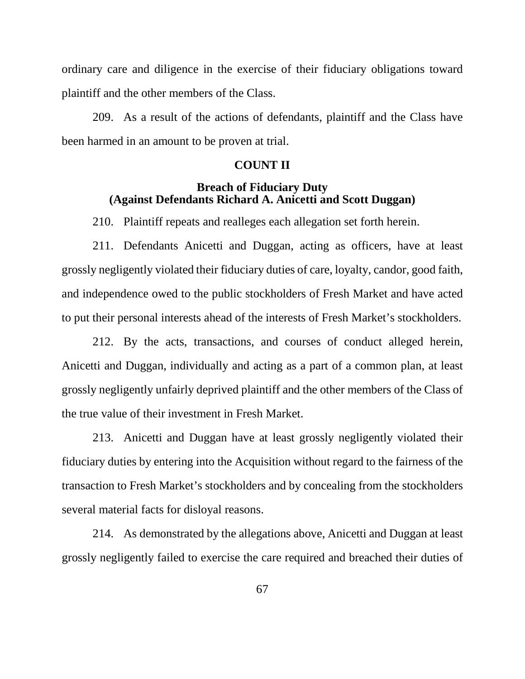ordinary care and diligence in the exercise of their fiduciary obligations toward plaintiff and the other members of the Class.

209. As a result of the actions of defendants, plaintiff and the Class have been harmed in an amount to be proven at trial.

## **COUNT II**

# **Breach of Fiduciary Duty (Against Defendants Richard A. Anicetti and Scott Duggan)**

210. Plaintiff repeats and realleges each allegation set forth herein.

211. Defendants Anicetti and Duggan, acting as officers, have at least grossly negligently violated their fiduciary duties of care, loyalty, candor, good faith, and independence owed to the public stockholders of Fresh Market and have acted to put their personal interests ahead of the interests of Fresh Market's stockholders.

212. By the acts, transactions, and courses of conduct alleged herein, Anicetti and Duggan, individually and acting as a part of a common plan, at least grossly negligently unfairly deprived plaintiff and the other members of the Class of the true value of their investment in Fresh Market.

213. Anicetti and Duggan have at least grossly negligently violated their fiduciary duties by entering into the Acquisition without regard to the fairness of the transaction to Fresh Market's stockholders and by concealing from the stockholders several material facts for disloyal reasons.

214. As demonstrated by the allegations above, Anicetti and Duggan at least grossly negligently failed to exercise the care required and breached their duties of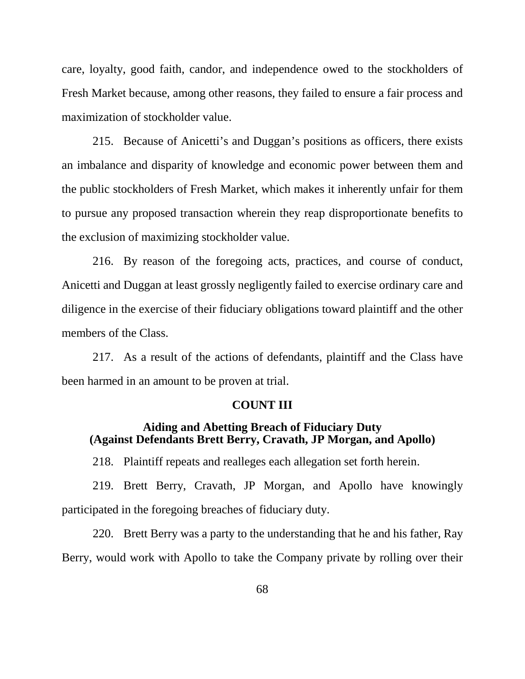care, loyalty, good faith, candor, and independence owed to the stockholders of Fresh Market because, among other reasons, they failed to ensure a fair process and maximization of stockholder value.

215. Because of Anicetti's and Duggan's positions as officers, there exists an imbalance and disparity of knowledge and economic power between them and the public stockholders of Fresh Market, which makes it inherently unfair for them to pursue any proposed transaction wherein they reap disproportionate benefits to the exclusion of maximizing stockholder value.

216. By reason of the foregoing acts, practices, and course of conduct, Anicetti and Duggan at least grossly negligently failed to exercise ordinary care and diligence in the exercise of their fiduciary obligations toward plaintiff and the other members of the Class.

217. As a result of the actions of defendants, plaintiff and the Class have been harmed in an amount to be proven at trial.

### **COUNT III**

## **Aiding and Abetting Breach of Fiduciary Duty (Against Defendants Brett Berry, Cravath, JP Morgan, and Apollo)**

218. Plaintiff repeats and realleges each allegation set forth herein.

219. Brett Berry, Cravath, JP Morgan, and Apollo have knowingly participated in the foregoing breaches of fiduciary duty.

220. Brett Berry was a party to the understanding that he and his father, Ray Berry, would work with Apollo to take the Company private by rolling over their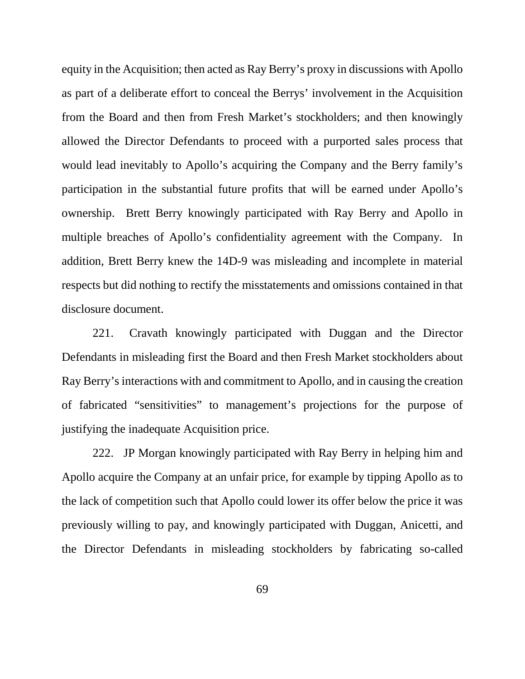equity in the Acquisition; then acted as Ray Berry's proxy in discussions with Apollo as part of a deliberate effort to conceal the Berrys' involvement in the Acquisition from the Board and then from Fresh Market's stockholders; and then knowingly allowed the Director Defendants to proceed with a purported sales process that would lead inevitably to Apollo's acquiring the Company and the Berry family's participation in the substantial future profits that will be earned under Apollo's ownership. Brett Berry knowingly participated with Ray Berry and Apollo in multiple breaches of Apollo's confidentiality agreement with the Company. In addition, Brett Berry knew the 14D-9 was misleading and incomplete in material respects but did nothing to rectify the misstatements and omissions contained in that disclosure document.

221. Cravath knowingly participated with Duggan and the Director Defendants in misleading first the Board and then Fresh Market stockholders about Ray Berry's interactions with and commitment to Apollo, and in causing the creation of fabricated "sensitivities" to management's projections for the purpose of justifying the inadequate Acquisition price.

222. JP Morgan knowingly participated with Ray Berry in helping him and Apollo acquire the Company at an unfair price, for example by tipping Apollo as to the lack of competition such that Apollo could lower its offer below the price it was previously willing to pay, and knowingly participated with Duggan, Anicetti, and the Director Defendants in misleading stockholders by fabricating so-called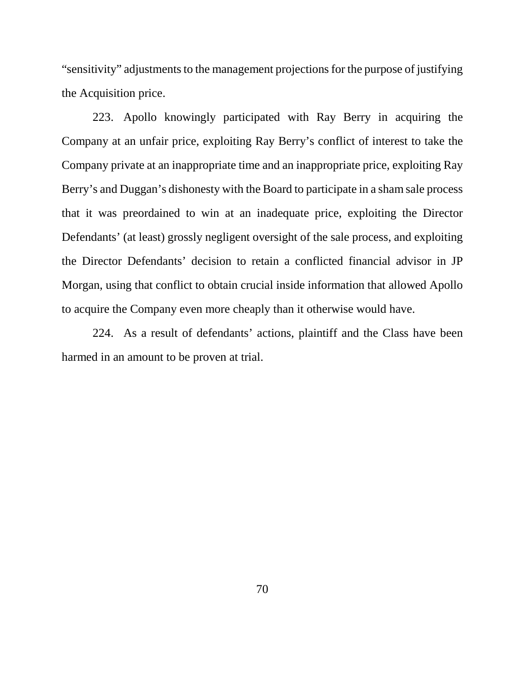"sensitivity" adjustments to the management projections for the purpose of justifying the Acquisition price.

223. Apollo knowingly participated with Ray Berry in acquiring the Company at an unfair price, exploiting Ray Berry's conflict of interest to take the Company private at an inappropriate time and an inappropriate price, exploiting Ray Berry's and Duggan's dishonesty with the Board to participate in a sham sale process that it was preordained to win at an inadequate price, exploiting the Director Defendants' (at least) grossly negligent oversight of the sale process, and exploiting the Director Defendants' decision to retain a conflicted financial advisor in JP Morgan, using that conflict to obtain crucial inside information that allowed Apollo to acquire the Company even more cheaply than it otherwise would have.

224. As a result of defendants' actions, plaintiff and the Class have been harmed in an amount to be proven at trial.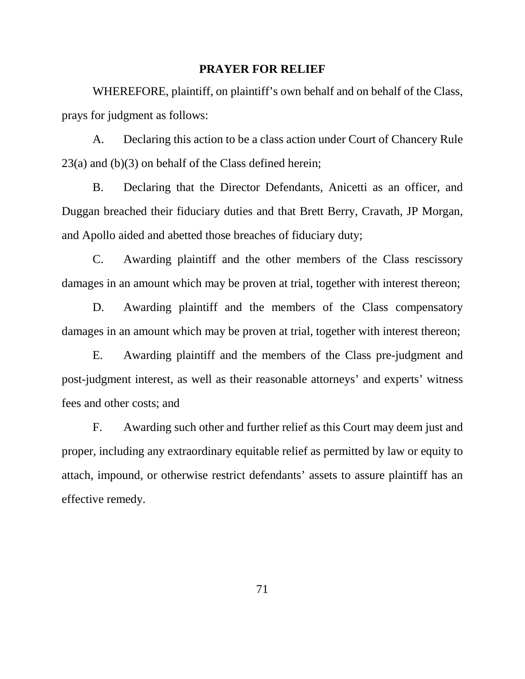#### **PRAYER FOR RELIEF**

WHEREFORE, plaintiff, on plaintiff's own behalf and on behalf of the Class, prays for judgment as follows:

A. Declaring this action to be a class action under Court of Chancery Rule 23(a) and (b)(3) on behalf of the Class defined herein;

B. Declaring that the Director Defendants, Anicetti as an officer, and Duggan breached their fiduciary duties and that Brett Berry, Cravath, JP Morgan, and Apollo aided and abetted those breaches of fiduciary duty;

C. Awarding plaintiff and the other members of the Class rescissory damages in an amount which may be proven at trial, together with interest thereon;

D. Awarding plaintiff and the members of the Class compensatory damages in an amount which may be proven at trial, together with interest thereon;

E. Awarding plaintiff and the members of the Class pre-judgment and post-judgment interest, as well as their reasonable attorneys' and experts' witness fees and other costs; and

F. Awarding such other and further relief as this Court may deem just and proper, including any extraordinary equitable relief as permitted by law or equity to attach, impound, or otherwise restrict defendants' assets to assure plaintiff has an effective remedy.

71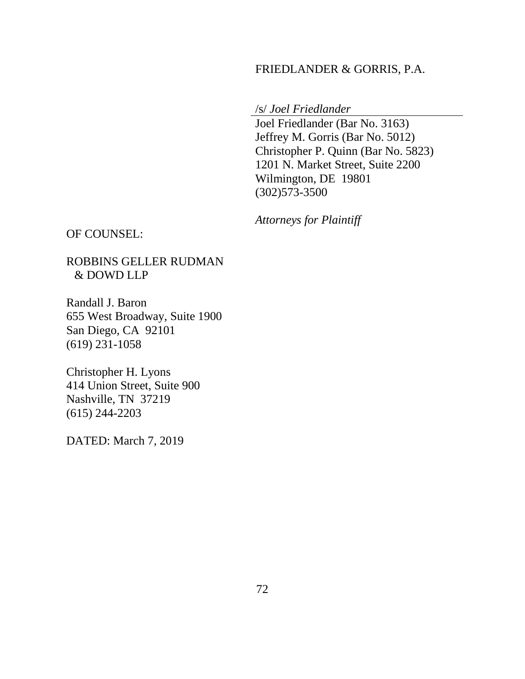## FRIEDLANDER & GORRIS, P.A.

/s/ *Joel Friedlander*

Joel Friedlander (Bar No. 3163) Jeffrey M. Gorris (Bar No. 5012) Christopher P. Quinn (Bar No. 5823) 1201 N. Market Street, Suite 2200 Wilmington, DE 19801 (302)573-3500

*Attorneys for Plaintiff*

OF COUNSEL:

ROBBINS GELLER RUDMAN & DOWD LLP

Randall J. Baron 655 West Broadway, Suite 1900 San Diego, CA 92101 (619) 231-1058

Christopher H. Lyons 414 Union Street, Suite 900 Nashville, TN 37219 (615) 244-2203

DATED: March 7, 2019